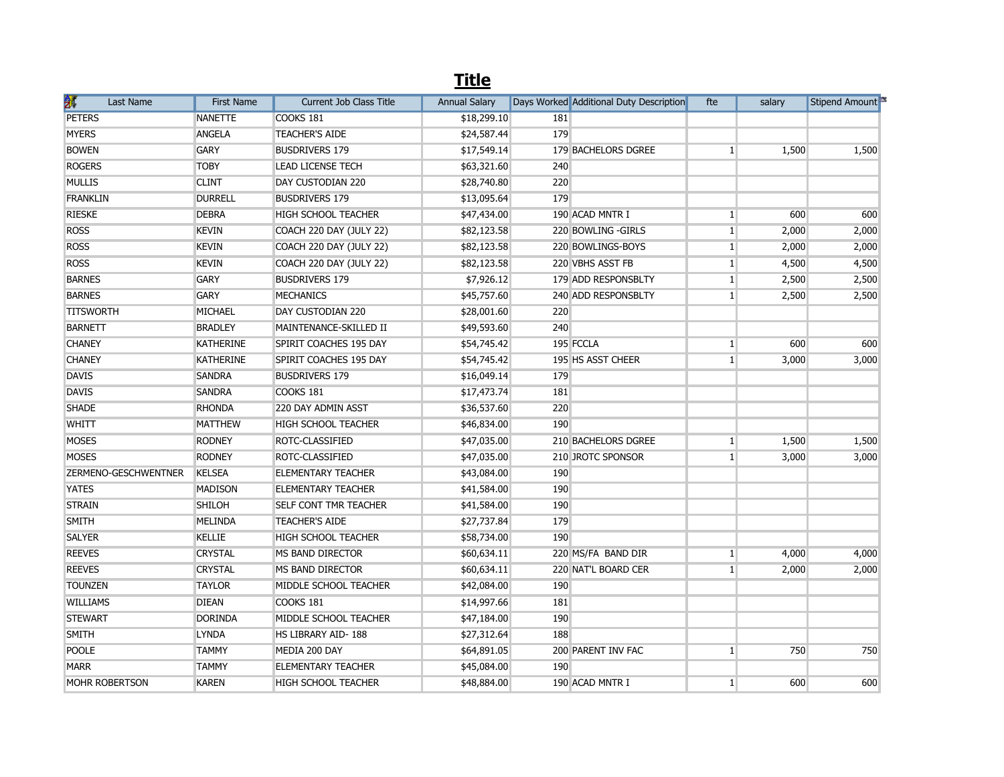|                       | <b>Title</b>      |                                |                      |     |                                         |              |        |                |  |  |  |
|-----------------------|-------------------|--------------------------------|----------------------|-----|-----------------------------------------|--------------|--------|----------------|--|--|--|
| 颔<br><b>Last Name</b> | <b>First Name</b> | <b>Current Job Class Title</b> | <b>Annual Salary</b> |     | Days Worked Additional Duty Description | fte          | salary | Stipend Amount |  |  |  |
| <b>PETERS</b>         | <b>NANETTE</b>    | <b>COOKS 181</b>               | \$18,299.10          | 181 |                                         |              |        |                |  |  |  |
| <b>MYERS</b>          | <b>ANGELA</b>     | <b>TEACHER'S AIDE</b>          | \$24,587.44          | 179 |                                         |              |        |                |  |  |  |
| <b>BOWEN</b>          | <b>GARY</b>       | <b>BUSDRIVERS 179</b>          | \$17,549.14          |     | 179 BACHELORS DGREE                     | 1            | 1,500  | 1,500          |  |  |  |
| <b>ROGERS</b>         | <b>TOBY</b>       | <b>LEAD LICENSE TECH</b>       | \$63,321.60          | 240 |                                         |              |        |                |  |  |  |
| <b>MULLIS</b>         | <b>CLINT</b>      | DAY CUSTODIAN 220              | \$28,740.80          | 220 |                                         |              |        |                |  |  |  |
| <b>FRANKLIN</b>       | <b>DURRELL</b>    | <b>BUSDRIVERS 179</b>          | \$13,095.64          | 179 |                                         |              |        |                |  |  |  |
| <b>RIESKE</b>         | <b>DEBRA</b>      | HIGH SCHOOL TEACHER            | \$47,434.00          |     | 190 ACAD MNTR I                         | 1            | 600    | 600            |  |  |  |
| <b>ROSS</b>           | <b>KEVIN</b>      | COACH 220 DAY (JULY 22)        | \$82,123.58          |     | 220 BOWLING - GIRLS                     | $\mathbf{1}$ | 2,000  | 2,000          |  |  |  |
| <b>ROSS</b>           | <b>KEVIN</b>      | COACH 220 DAY (JULY 22)        | \$82,123.58          |     | 220 BOWLINGS-BOYS                       | 1            | 2,000  | 2,000          |  |  |  |
| <b>ROSS</b>           | <b>KEVIN</b>      | COACH 220 DAY (JULY 22)        | \$82,123.58          |     | 220 VBHS ASST FB                        | $\mathbf{1}$ | 4,500  | 4,500          |  |  |  |
| <b>BARNES</b>         | <b>GARY</b>       | <b>BUSDRIVERS 179</b>          | \$7,926.12           |     | 179 ADD RESPONSBLTY                     | $\mathbf{1}$ | 2,500  | 2,500          |  |  |  |
| <b>BARNES</b>         | <b>GARY</b>       | <b>MECHANICS</b>               | \$45,757.60          |     | 240 ADD RESPONSBLTY                     | $\mathbf{1}$ | 2,500  | 2,500          |  |  |  |
| <b>TITSWORTH</b>      | MICHAEL           | DAY CUSTODIAN 220              | \$28,001.60          | 220 |                                         |              |        |                |  |  |  |
| <b>BARNETT</b>        | <b>BRADLEY</b>    | MAINTENANCE-SKILLED II         | \$49,593.60          | 240 |                                         |              |        |                |  |  |  |
| <b>CHANEY</b>         | <b>KATHERINE</b>  | SPIRIT COACHES 195 DAY         | \$54,745.42          |     | 195 FCCLA                               | $\mathbf{1}$ | 600    | 600            |  |  |  |
| <b>CHANEY</b>         | <b>KATHERINE</b>  | SPIRIT COACHES 195 DAY         | \$54,745.42          |     | 195 HS ASST CHEER                       | $\mathbf{1}$ | 3,000  | 3,000          |  |  |  |
| <b>DAVIS</b>          | <b>SANDRA</b>     | <b>BUSDRIVERS 179</b>          | \$16,049.14          | 179 |                                         |              |        |                |  |  |  |
| <b>DAVIS</b>          | <b>SANDRA</b>     | COOKS 181                      | \$17,473.74          | 181 |                                         |              |        |                |  |  |  |
| <b>SHADE</b>          | <b>RHONDA</b>     | 220 DAY ADMIN ASST             | \$36,537.60          | 220 |                                         |              |        |                |  |  |  |
| WHITT                 | <b>MATTHEW</b>    | HIGH SCHOOL TEACHER            | \$46,834.00          | 190 |                                         |              |        |                |  |  |  |
| <b>MOSES</b>          | <b>RODNEY</b>     | ROTC-CLASSIFIED                | \$47,035.00          |     | 210 BACHELORS DGREE                     | $\mathbf{1}$ | 1,500  | 1,500          |  |  |  |
| <b>MOSES</b>          | <b>RODNEY</b>     | ROTC-CLASSIFIED                | \$47,035.00          |     | 210 JROTC SPONSOR                       | 1            | 3,000  | 3,000          |  |  |  |
| ZERMENO-GESCHWENTNER  | <b>KELSEA</b>     | <b>ELEMENTARY TEACHER</b>      | \$43,084.00          | 190 |                                         |              |        |                |  |  |  |
| <b>YATES</b>          | <b>MADISON</b>    | ELEMENTARY TEACHER             | \$41,584.00          | 190 |                                         |              |        |                |  |  |  |
| <b>STRAIN</b>         | <b>SHILOH</b>     | <b>SELF CONT TMR TEACHER</b>   | \$41,584.00          | 190 |                                         |              |        |                |  |  |  |
| <b>SMITH</b>          | <b>MELINDA</b>    | <b>TEACHER'S AIDE</b>          | \$27,737.84          | 179 |                                         |              |        |                |  |  |  |
| <b>SALYER</b>         | <b>KELLIE</b>     | HIGH SCHOOL TEACHER            | \$58,734.00          | 190 |                                         |              |        |                |  |  |  |
| <b>REEVES</b>         | <b>CRYSTAL</b>    | <b>MS BAND DIRECTOR</b>        | \$60,634.11          |     | 220 MS/FA BAND DIR                      | $\mathbf{1}$ | 4,000  | 4,000          |  |  |  |
| <b>REEVES</b>         | <b>CRYSTAL</b>    | <b>MS BAND DIRECTOR</b>        | \$60,634.11          |     | 220 NAT'L BOARD CER                     | $\mathbf{1}$ | 2,000  | 2,000          |  |  |  |
| <b>TOUNZEN</b>        | <b>TAYLOR</b>     | MIDDLE SCHOOL TEACHER          | \$42,084.00          | 190 |                                         |              |        |                |  |  |  |
| <b>WILLIAMS</b>       | <b>DIEAN</b>      | COOKS 181                      | \$14,997.66          | 181 |                                         |              |        |                |  |  |  |
| <b>STEWART</b>        | <b>DORINDA</b>    | MIDDLE SCHOOL TEACHER          | \$47,184.00          | 190 |                                         |              |        |                |  |  |  |
| <b>SMITH</b>          | <b>LYNDA</b>      | HS LIBRARY AID-188             | \$27,312.64          | 188 |                                         |              |        |                |  |  |  |
| <b>POOLE</b>          | <b>TAMMY</b>      | MEDIA 200 DAY                  | \$64,891.05          |     | 200 PARENT INV FAC                      | $\mathbf{1}$ | 750    | 750            |  |  |  |
| <b>MARR</b>           | <b>TAMMY</b>      | <b>ELEMENTARY TEACHER</b>      | \$45,084.00          | 190 |                                         |              |        |                |  |  |  |
| <b>MOHR ROBERTSON</b> | <b>KAREN</b>      | <b>HIGH SCHOOL TEACHER</b>     | \$48,884.00          |     | 190 ACAD MNTR I                         | $\mathbf{1}$ | 600    | 600            |  |  |  |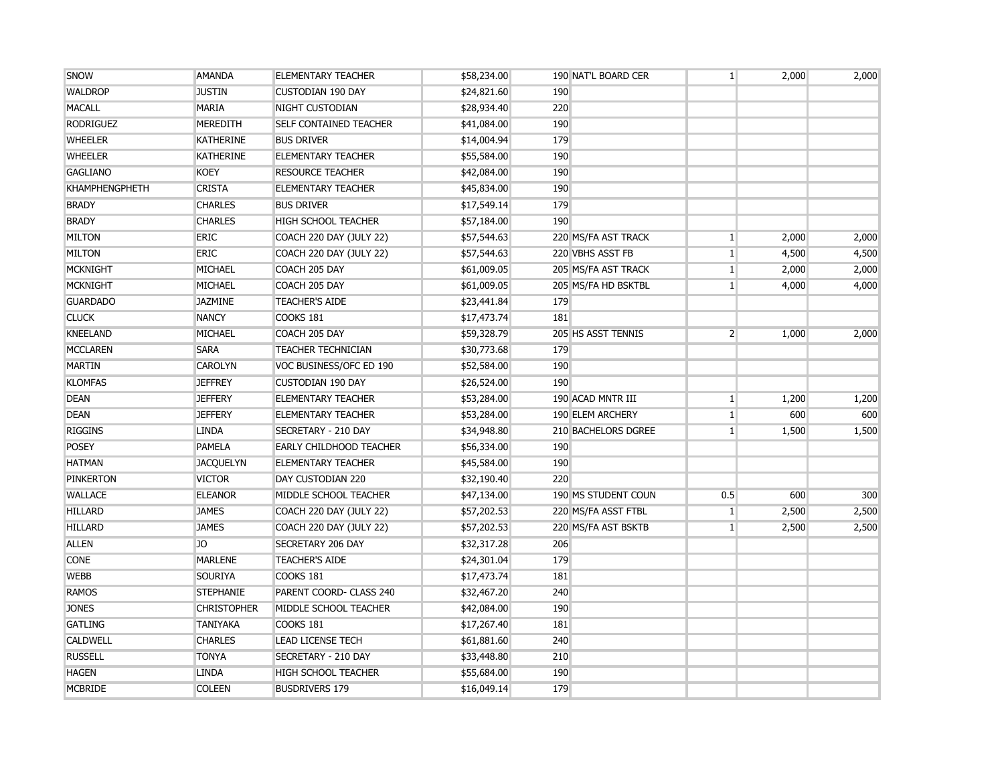| SNOW                  | <b>AMANDA</b>      | <b>ELEMENTARY TEACHER</b>      | \$58,234.00 | 190 NAT'L BOARD CER | $\mathbf{1}$   | 2,000 | 2,000 |
|-----------------------|--------------------|--------------------------------|-------------|---------------------|----------------|-------|-------|
| <b>WALDROP</b>        | <b>JUSTIN</b>      | <b>CUSTODIAN 190 DAY</b>       | \$24,821.60 | 190                 |                |       |       |
| <b>MACALL</b>         | <b>MARIA</b>       | NIGHT CUSTODIAN                | \$28,934.40 | 220                 |                |       |       |
| <b>RODRIGUEZ</b>      | <b>MEREDITH</b>    | <b>SELF CONTAINED TEACHER</b>  | \$41,084.00 | 190                 |                |       |       |
| <b>WHEELER</b>        | <b>KATHERINE</b>   | <b>BUS DRIVER</b>              | \$14,004.94 | 179                 |                |       |       |
| <b>WHEELER</b>        | <b>KATHERINE</b>   | <b>ELEMENTARY TEACHER</b>      | \$55,584.00 | 190                 |                |       |       |
| <b>GAGLIANO</b>       | <b>KOEY</b>        | <b>RESOURCE TEACHER</b>        | \$42,084.00 | 190                 |                |       |       |
| <b>KHAMPHENGPHETH</b> | <b>CRISTA</b>      | <b>ELEMENTARY TEACHER</b>      | \$45,834.00 | 190                 |                |       |       |
| <b>BRADY</b>          | <b>CHARLES</b>     | <b>BUS DRIVER</b>              | \$17,549.14 | 179                 |                |       |       |
| <b>BRADY</b>          | <b>CHARLES</b>     | <b>HIGH SCHOOL TEACHER</b>     | \$57,184.00 | 190                 |                |       |       |
| <b>MILTON</b>         | <b>ERIC</b>        | COACH 220 DAY (JULY 22)        | \$57,544.63 | 220 MS/FA AST TRACK | $\mathbf{1}$   | 2,000 | 2,000 |
| <b>MILTON</b>         | <b>ERIC</b>        | COACH 220 DAY (JULY 22)        | \$57,544.63 | 220 VBHS ASST FB    | $\mathbf{1}$   | 4,500 | 4,500 |
| <b>MCKNIGHT</b>       | MICHAEL            | COACH 205 DAY                  | \$61,009.05 | 205 MS/FA AST TRACK | $\mathbf{1}$   | 2,000 | 2,000 |
| <b>MCKNIGHT</b>       | MICHAEL            | COACH 205 DAY                  | \$61,009.05 | 205 MS/FA HD BSKTBL | $1\vert$       | 4,000 | 4,000 |
| <b>GUARDADO</b>       | <b>JAZMINE</b>     | <b>TEACHER'S AIDE</b>          | \$23,441.84 | 179                 |                |       |       |
| <b>CLUCK</b>          | <b>NANCY</b>       | COOKS 181                      | \$17,473.74 | 181                 |                |       |       |
| <b>KNEELAND</b>       | MICHAEL            | COACH 205 DAY                  | \$59,328.79 | 205 HS ASST TENNIS  | $\overline{2}$ | 1,000 | 2,000 |
| <b>MCCLAREN</b>       | <b>SARA</b>        | <b>TEACHER TECHNICIAN</b>      | \$30,773.68 | 179                 |                |       |       |
| <b>MARTIN</b>         | <b>CAROLYN</b>     | VOC BUSINESS/OFC ED 190        | \$52,584.00 | 190                 |                |       |       |
| <b>KLOMFAS</b>        | <b>JEFFREY</b>     | <b>CUSTODIAN 190 DAY</b>       | \$26,524.00 | 190                 |                |       |       |
| <b>DEAN</b>           | <b>JEFFERY</b>     | <b>ELEMENTARY TEACHER</b>      | \$53,284.00 | 190 ACAD MNTR III   | $\mathbf{1}$   | 1,200 | 1,200 |
| <b>DEAN</b>           | <b>JEFFERY</b>     | <b>ELEMENTARY TEACHER</b>      | \$53,284.00 | 190 ELEM ARCHERY    | 1              | 600   | 600   |
| <b>RIGGINS</b>        | <b>LINDA</b>       | SECRETARY - 210 DAY            | \$34,948.80 | 210 BACHELORS DGREE | $1\vert$       | 1,500 | 1,500 |
| <b>POSEY</b>          | <b>PAMELA</b>      | <b>EARLY CHILDHOOD TEACHER</b> | \$56,334.00 | 190                 |                |       |       |
| <b>HATMAN</b>         | <b>JACQUELYN</b>   | <b>ELEMENTARY TEACHER</b>      | \$45,584.00 | 190                 |                |       |       |
| <b>PINKERTON</b>      | <b>VICTOR</b>      | DAY CUSTODIAN 220              | \$32,190.40 | 220                 |                |       |       |
| <b>WALLACE</b>        | <b>ELEANOR</b>     | MIDDLE SCHOOL TEACHER          | \$47,134.00 | 190 MS STUDENT COUN | 0.5            | 600   | 300   |
| <b>HILLARD</b>        | <b>JAMES</b>       | COACH 220 DAY (JULY 22)        | \$57,202.53 | 220 MS/FA ASST FTBL | 1              | 2,500 | 2,500 |
| <b>HILLARD</b>        | <b>JAMES</b>       | COACH 220 DAY (JULY 22)        | \$57,202.53 | 220 MS/FA AST BSKTB | 1 <sup>1</sup> | 2,500 | 2,500 |
| <b>ALLEN</b>          | JO                 | SECRETARY 206 DAY              | \$32,317.28 | 206                 |                |       |       |
| <b>CONE</b>           | <b>MARLENE</b>     | <b>TEACHER'S AIDE</b>          | \$24,301.04 | 179                 |                |       |       |
| <b>WEBB</b>           | <b>SOURIYA</b>     | COOKS 181                      | \$17,473.74 | 181                 |                |       |       |
| <b>RAMOS</b>          | <b>STEPHANIE</b>   | PARENT COORD- CLASS 240        | \$32,467.20 | 240                 |                |       |       |
| <b>JONES</b>          | <b>CHRISTOPHER</b> | MIDDLE SCHOOL TEACHER          | \$42,084.00 | 190                 |                |       |       |
| <b>GATLING</b>        | <b>TANIYAKA</b>    | COOKS 181                      | \$17,267.40 | 181                 |                |       |       |
| <b>CALDWELL</b>       | <b>CHARLES</b>     | <b>LEAD LICENSE TECH</b>       | \$61,881.60 | 240                 |                |       |       |
| <b>RUSSELL</b>        | <b>TONYA</b>       | SECRETARY - 210 DAY            | \$33,448.80 | 210                 |                |       |       |
| <b>HAGEN</b>          | <b>LINDA</b>       | HIGH SCHOOL TEACHER            | \$55,684.00 | 190                 |                |       |       |
| <b>MCBRIDE</b>        | <b>COLEEN</b>      | <b>BUSDRIVERS 179</b>          | \$16,049.14 | 179                 |                |       |       |
|                       |                    |                                |             |                     |                |       |       |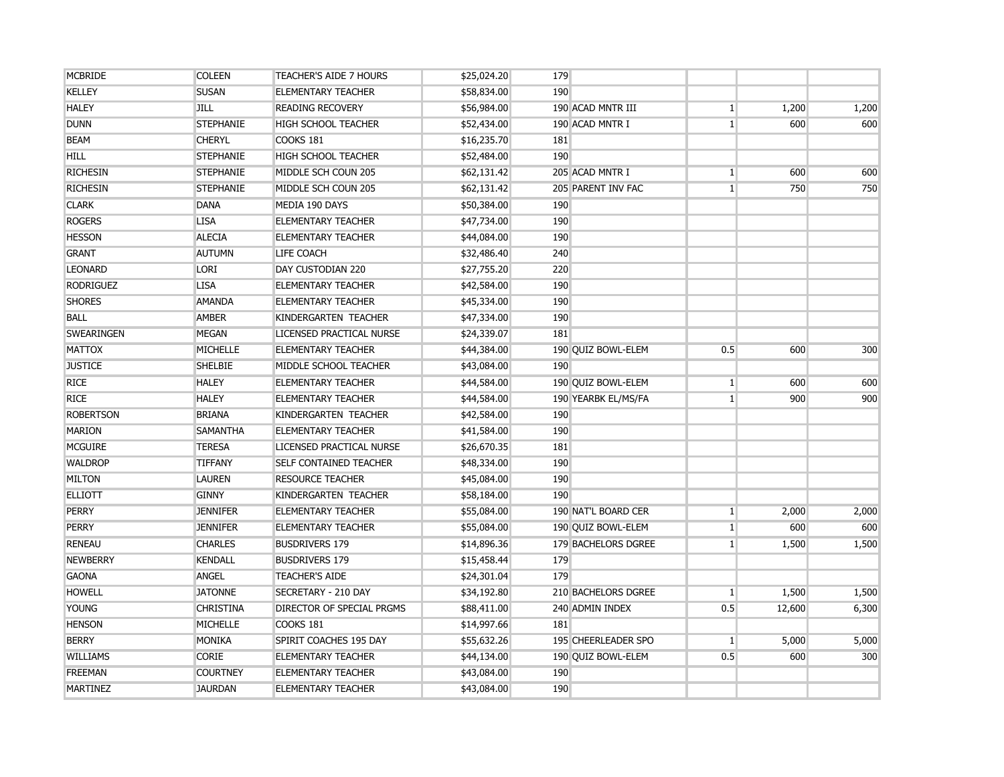| <b>MCBRIDE</b>    | <b>COLEEN</b>    | TEACHER'S AIDE 7 HOURS        | \$25,024.20 | 179 |                     |                 |        |       |
|-------------------|------------------|-------------------------------|-------------|-----|---------------------|-----------------|--------|-------|
| <b>KELLEY</b>     | <b>SUSAN</b>     | <b>ELEMENTARY TEACHER</b>     | \$58,834.00 | 190 |                     |                 |        |       |
| <b>HALEY</b>      | <b>JILL</b>      | <b>READING RECOVERY</b>       | \$56,984.00 |     | 190 ACAD MNTR III   | $\mathbf{1}$    | 1,200  | 1,200 |
| <b>DUNN</b>       | <b>STEPHANIE</b> | <b>HIGH SCHOOL TEACHER</b>    | \$52,434.00 |     | 190 ACAD MNTR I     | $1\vert$        | 600    | 600   |
| <b>BEAM</b>       | <b>CHERYL</b>    | COOKS 181                     | \$16,235.70 | 181 |                     |                 |        |       |
| <b>HILL</b>       | <b>STEPHANIE</b> | <b>HIGH SCHOOL TEACHER</b>    | \$52,484.00 | 190 |                     |                 |        |       |
| <b>RICHESIN</b>   | <b>STEPHANIE</b> | MIDDLE SCH COUN 205           | \$62,131.42 |     | 205 ACAD MNTR I     | $\mathbf{1}$    | 600    | 600   |
| <b>RICHESIN</b>   | <b>STEPHANIE</b> | MIDDLE SCH COUN 205           | \$62,131.42 |     | 205 PARENT INV FAC  | $\mathbf{1}$    | 750    | 750   |
| <b>CLARK</b>      | <b>DANA</b>      | MEDIA 190 DAYS                | \$50,384.00 | 190 |                     |                 |        |       |
| <b>ROGERS</b>     | <b>LISA</b>      | <b>ELEMENTARY TEACHER</b>     | \$47,734.00 | 190 |                     |                 |        |       |
| <b>HESSON</b>     | <b>ALECIA</b>    | <b>ELEMENTARY TEACHER</b>     | \$44,084.00 | 190 |                     |                 |        |       |
| <b>GRANT</b>      | <b>AUTUMN</b>    | <b>LIFE COACH</b>             | \$32,486.40 | 240 |                     |                 |        |       |
| <b>LEONARD</b>    | <b>LORI</b>      | DAY CUSTODIAN 220             | \$27,755.20 | 220 |                     |                 |        |       |
| <b>RODRIGUEZ</b>  | <b>LISA</b>      | <b>ELEMENTARY TEACHER</b>     | \$42,584.00 | 190 |                     |                 |        |       |
| <b>SHORES</b>     | <b>AMANDA</b>    | <b>ELEMENTARY TEACHER</b>     | \$45,334.00 | 190 |                     |                 |        |       |
| <b>BALL</b>       | <b>AMBER</b>     | KINDERGARTEN TEACHER          | \$47,334.00 | 190 |                     |                 |        |       |
| <b>SWEARINGEN</b> | <b>MEGAN</b>     | LICENSED PRACTICAL NURSE      | \$24,339.07 | 181 |                     |                 |        |       |
| <b>MATTOX</b>     | <b>MICHELLE</b>  | <b>ELEMENTARY TEACHER</b>     | \$44,384.00 |     | 190 QUIZ BOWL-ELEM  | 0.5             | 600    | 300   |
| <b>JUSTICE</b>    | <b>SHELBIE</b>   | MIDDLE SCHOOL TEACHER         | \$43,084.00 | 190 |                     |                 |        |       |
| <b>RICE</b>       | <b>HALEY</b>     | <b>ELEMENTARY TEACHER</b>     | \$44,584.00 |     | 190 QUIZ BOWL-ELEM  | $\mathbf{1}$    | 600    | 600   |
| <b>RICE</b>       | <b>HALEY</b>     | <b>ELEMENTARY TEACHER</b>     | \$44,584.00 |     | 190 YEARBK EL/MS/FA | $\mathbf{1}$    | 900    | 900   |
| <b>ROBERTSON</b>  | <b>BRIANA</b>    | KINDERGARTEN TEACHER          | \$42,584.00 | 190 |                     |                 |        |       |
| <b>MARION</b>     | <b>SAMANTHA</b>  | <b>ELEMENTARY TEACHER</b>     | \$41,584.00 | 190 |                     |                 |        |       |
| <b>MCGUIRE</b>    | <b>TERESA</b>    | LICENSED PRACTICAL NURSE      | \$26,670.35 | 181 |                     |                 |        |       |
| <b>WALDROP</b>    | <b>TIFFANY</b>   | <b>SELF CONTAINED TEACHER</b> | \$48,334.00 | 190 |                     |                 |        |       |
| <b>MILTON</b>     | <b>LAUREN</b>    | <b>RESOURCE TEACHER</b>       | \$45,084.00 | 190 |                     |                 |        |       |
| <b>ELLIOTT</b>    | <b>GINNY</b>     | KINDERGARTEN TEACHER          | \$58,184.00 | 190 |                     |                 |        |       |
| <b>PERRY</b>      | <b>JENNIFER</b>  | <b>ELEMENTARY TEACHER</b>     | \$55,084.00 |     | 190 NAT'L BOARD CER | $\mathbf{1}$    | 2,000  | 2,000 |
| <b>PERRY</b>      | <b>JENNIFER</b>  | <b>ELEMENTARY TEACHER</b>     | \$55,084.00 |     | 190 QUIZ BOWL-ELEM  | $\mathbf{1}$    | 600    | 600   |
| <b>RENEAU</b>     | <b>CHARLES</b>   | <b>BUSDRIVERS 179</b>         | \$14,896.36 |     | 179 BACHELORS DGREE | $\mathbf{1}$    | 1,500  | 1,500 |
| <b>NEWBERRY</b>   | <b>KENDALL</b>   | <b>BUSDRIVERS 179</b>         | \$15,458.44 | 179 |                     |                 |        |       |
| <b>GAONA</b>      | <b>ANGEL</b>     | <b>TEACHER'S AIDE</b>         | \$24,301.04 | 179 |                     |                 |        |       |
| <b>HOWELL</b>     | <b>JATONNE</b>   | SECRETARY - 210 DAY           | \$34,192.80 |     | 210 BACHELORS DGREE | $1\overline{ }$ | 1,500  | 1,500 |
| <b>YOUNG</b>      | <b>CHRISTINA</b> | DIRECTOR OF SPECIAL PRGMS     | \$88,411.00 |     | 240 ADMIN INDEX     | 0.5             | 12,600 | 6,300 |
| <b>HENSON</b>     | MICHELLE         | <b>COOKS 181</b>              | \$14,997.66 | 181 |                     |                 |        |       |
| <b>BERRY</b>      | MONIKA           | SPIRIT COACHES 195 DAY        | \$55,632.26 |     | 195 CHEERLEADER SPO | $\mathbf{1}$    | 5,000  | 5,000 |
| <b>WILLIAMS</b>   | <b>CORIE</b>     | <b>ELEMENTARY TEACHER</b>     | \$44,134.00 |     | 190 QUIZ BOWL-ELEM  | 0.5             | 600    | 300   |
| <b>FREEMAN</b>    | <b>COURTNEY</b>  | <b>ELEMENTARY TEACHER</b>     | \$43,084.00 | 190 |                     |                 |        |       |
| <b>MARTINEZ</b>   | <b>JAURDAN</b>   | <b>ELEMENTARY TEACHER</b>     | \$43,084.00 | 190 |                     |                 |        |       |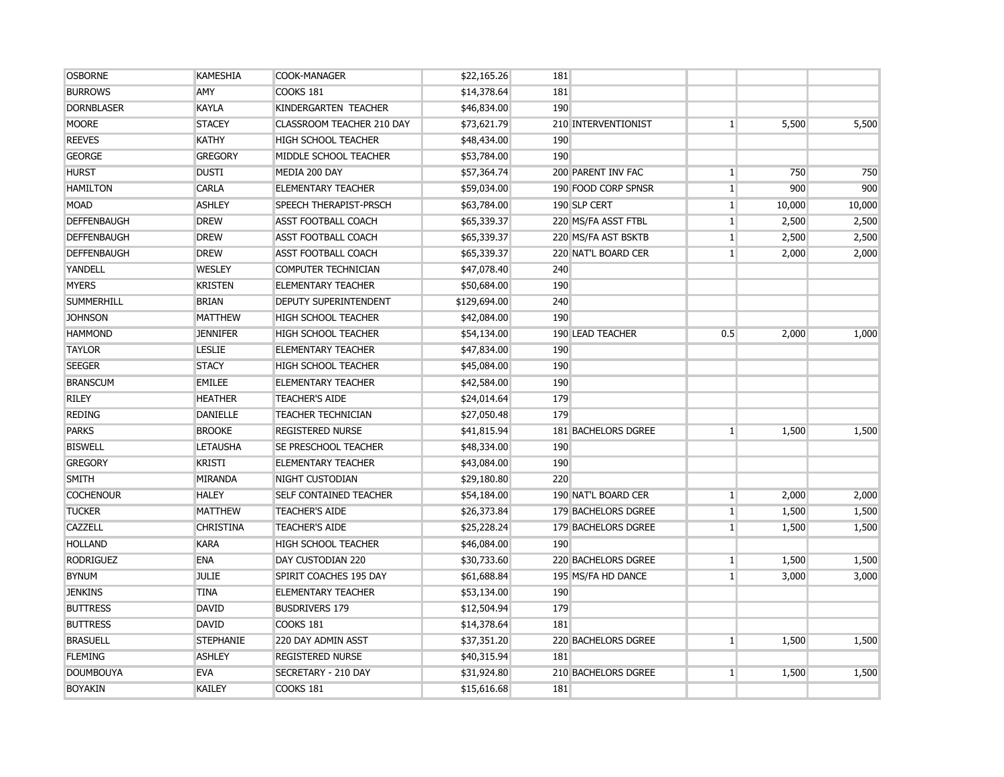| <b>OSBORNE</b>     | <b>KAMESHIA</b>  | COOK-MANAGER                  | \$22,165.26  | 181                 |                 |        |        |
|--------------------|------------------|-------------------------------|--------------|---------------------|-----------------|--------|--------|
| <b>BURROWS</b>     | AMY              | COOKS 181                     | \$14,378.64  | 181                 |                 |        |        |
| <b>DORNBLASER</b>  | <b>KAYLA</b>     | KINDERGARTEN TEACHER          | \$46,834.00  | 190                 |                 |        |        |
| <b>MOORE</b>       | <b>STACEY</b>    | CLASSROOM TEACHER 210 DAY     | \$73,621.79  | 210 INTERVENTIONIST | $\mathbf{1}$    | 5,500  | 5,500  |
| <b>REEVES</b>      | <b>KATHY</b>     | <b>HIGH SCHOOL TEACHER</b>    | \$48,434.00  | 190                 |                 |        |        |
| <b>GEORGE</b>      | <b>GREGORY</b>   | MIDDLE SCHOOL TEACHER         | \$53,784.00  | 190                 |                 |        |        |
| <b>HURST</b>       | <b>DUSTI</b>     | MEDIA 200 DAY                 | \$57,364.74  | 200 PARENT INV FAC  | $\vert$ 1       | 750    | 750    |
| <b>HAMILTON</b>    | CARLA            | <b>ELEMENTARY TEACHER</b>     | \$59,034.00  | 190 FOOD CORP SPNSR | $\mathbf{1}$    | 900    | 900    |
| <b>MOAD</b>        | <b>ASHLEY</b>    | SPEECH THERAPIST-PRSCH        | \$63,784.00  | 190 SLP CERT        | $\vert$ 1       | 10,000 | 10,000 |
| DEFFENBAUGH        | <b>DREW</b>      | <b>ASST FOOTBALL COACH</b>    | \$65,339.37  | 220 MS/FA ASST FTBL | $\vert$ 1       | 2,500  | 2,500  |
| <b>DEFFENBAUGH</b> | <b>DREW</b>      | <b>ASST FOOTBALL COACH</b>    | \$65,339.37  | 220 MS/FA AST BSKTB | $\mathbf{1}$    | 2,500  | 2,500  |
| <b>DEFFENBAUGH</b> | <b>DREW</b>      | <b>ASST FOOTBALL COACH</b>    | \$65,339.37  | 220 NAT'L BOARD CER | $1\overline{ }$ | 2,000  | 2,000  |
| YANDELL            | <b>WESLEY</b>    | <b>COMPUTER TECHNICIAN</b>    | \$47,078.40  | 240                 |                 |        |        |
| <b>MYERS</b>       | <b>KRISTEN</b>   | <b>ELEMENTARY TEACHER</b>     | \$50,684.00  | 190                 |                 |        |        |
| <b>SUMMERHILL</b>  | <b>BRIAN</b>     | <b>DEPUTY SUPERINTENDENT</b>  | \$129,694.00 | 240                 |                 |        |        |
| <b>JOHNSON</b>     | <b>MATTHEW</b>   | <b>HIGH SCHOOL TEACHER</b>    | \$42,084.00  | 190                 |                 |        |        |
| <b>HAMMOND</b>     | <b>JENNIFER</b>  | <b>HIGH SCHOOL TEACHER</b>    | \$54,134.00  | 190 LEAD TEACHER    | 0.5             | 2,000  | 1,000  |
| <b>TAYLOR</b>      | <b>LESLIE</b>    | <b>ELEMENTARY TEACHER</b>     | \$47,834.00  | 190                 |                 |        |        |
| <b>SEEGER</b>      | <b>STACY</b>     | <b>HIGH SCHOOL TEACHER</b>    | \$45,084.00  | 190                 |                 |        |        |
| <b>BRANSCUM</b>    | <b>EMILEE</b>    | <b>ELEMENTARY TEACHER</b>     | \$42,584.00  | 190                 |                 |        |        |
| <b>RILEY</b>       | <b>HEATHER</b>   | <b>TEACHER'S AIDE</b>         | \$24,014.64  | 179                 |                 |        |        |
| <b>REDING</b>      | <b>DANIELLE</b>  | <b>TEACHER TECHNICIAN</b>     | \$27,050.48  | 179                 |                 |        |        |
| <b>PARKS</b>       | <b>BROOKE</b>    | <b>REGISTERED NURSE</b>       | \$41,815.94  | 181 BACHELORS DGREE | $\mathbf{1}$    | 1,500  | 1,500  |
| <b>BISWELL</b>     | <b>LETAUSHA</b>  | SE PRESCHOOL TEACHER          | \$48,334.00  | 190                 |                 |        |        |
| <b>GREGORY</b>     | <b>KRISTI</b>    | <b>ELEMENTARY TEACHER</b>     | \$43,084.00  | 190                 |                 |        |        |
| <b>SMITH</b>       | <b>MIRANDA</b>   | NIGHT CUSTODIAN               | \$29,180.80  | 220                 |                 |        |        |
| <b>COCHENOUR</b>   | <b>HALEY</b>     | <b>SELF CONTAINED TEACHER</b> | \$54,184.00  | 190 NAT'L BOARD CER | $\mathbf{1}$    | 2,000  | 2,000  |
| <b>TUCKER</b>      | <b>MATTHEW</b>   | <b>TEACHER'S AIDE</b>         | \$26,373.84  | 179 BACHELORS DGREE | $\mathbf{1}$    | 1,500  | 1,500  |
| <b>CAZZELL</b>     | <b>CHRISTINA</b> | <b>TEACHER'S AIDE</b>         | \$25,228.24  | 179 BACHELORS DGREE | $\mathbf{1}$    | 1,500  | 1,500  |
| <b>HOLLAND</b>     | <b>KARA</b>      | <b>HIGH SCHOOL TEACHER</b>    | \$46,084.00  | 190                 |                 |        |        |
| <b>RODRIGUEZ</b>   | <b>ENA</b>       | DAY CUSTODIAN 220             | \$30,733.60  | 220 BACHELORS DGREE | $\vert$ 1       | 1,500  | 1,500  |
| <b>BYNUM</b>       | <b>JULIE</b>     | SPIRIT COACHES 195 DAY        | \$61,688.84  | 195 MS/FA HD DANCE  | $\mathbf{1}$    | 3,000  | 3,000  |
| <b>JENKINS</b>     | <b>TINA</b>      | <b>ELEMENTARY TEACHER</b>     | \$53,134.00  | 190                 |                 |        |        |
| <b>BUTTRESS</b>    | <b>DAVID</b>     | <b>BUSDRIVERS 179</b>         | \$12,504.94  | 179                 |                 |        |        |
| <b>BUTTRESS</b>    | <b>DAVID</b>     | COOKS 181                     | \$14,378.64  | 181                 |                 |        |        |
| <b>BRASUELL</b>    | <b>STEPHANIE</b> | 220 DAY ADMIN ASST            | \$37,351.20  | 220 BACHELORS DGREE | $\mathbf{1}$    | 1,500  | 1,500  |
| <b>FLEMING</b>     | <b>ASHLEY</b>    | <b>REGISTERED NURSE</b>       | \$40,315.94  | 181                 |                 |        |        |
| <b>DOUMBOUYA</b>   | <b>EVA</b>       | SECRETARY - 210 DAY           | \$31,924.80  | 210 BACHELORS DGREE | $\mathbf{1}$    | 1,500  | 1,500  |
| <b>BOYAKIN</b>     | <b>KAILEY</b>    | COOKS 181                     | \$15,616.68  | 181                 |                 |        |        |
|                    |                  |                               |              |                     |                 |        |        |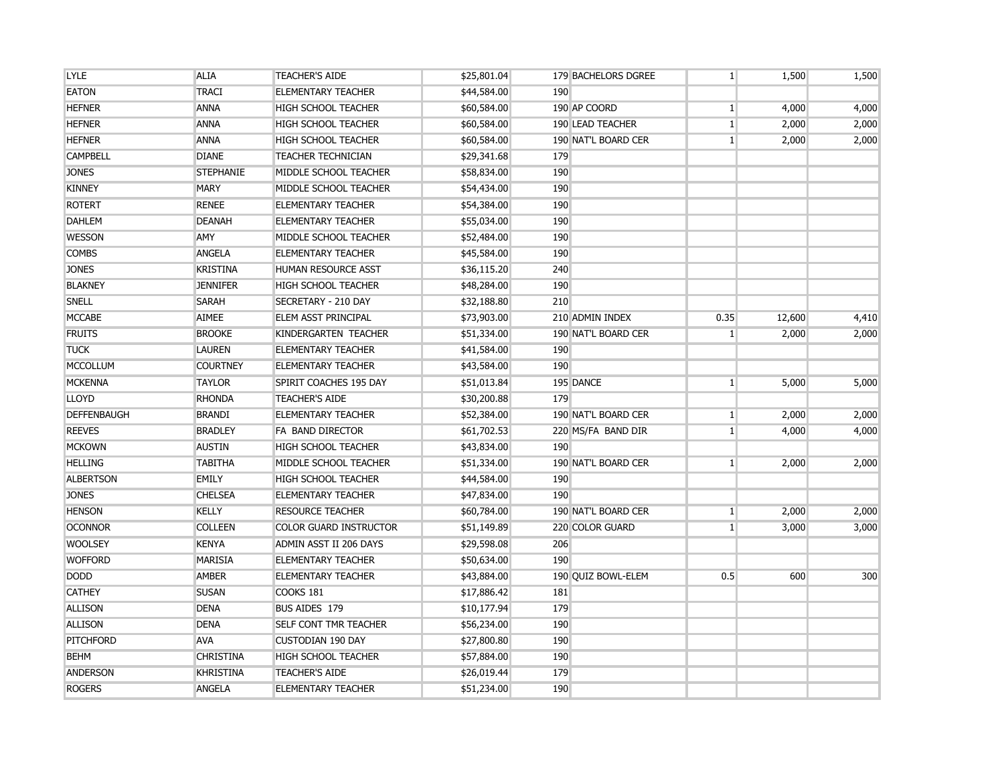| <b>LYLE</b>        | <b>ALIA</b>      | <b>TEACHER'S AIDE</b>         | \$25,801.04 |     | 179 BACHELORS DGREE | $\mathbf{1}$   | 1,500  | 1,500 |
|--------------------|------------------|-------------------------------|-------------|-----|---------------------|----------------|--------|-------|
| <b>EATON</b>       | <b>TRACI</b>     | <b>ELEMENTARY TEACHER</b>     | \$44,584.00 | 190 |                     |                |        |       |
| <b>HEFNER</b>      | <b>ANNA</b>      | <b>HIGH SCHOOL TEACHER</b>    | \$60,584.00 |     | 190 AP COORD        | 1 <sup>1</sup> | 4,000  | 4,000 |
| <b>HEFNER</b>      | <b>ANNA</b>      | <b>HIGH SCHOOL TEACHER</b>    | \$60,584.00 |     | 190 LEAD TEACHER    | $\mathbf{1}$   | 2,000  | 2,000 |
| <b>HEFNER</b>      | ANNA             | <b>HIGH SCHOOL TEACHER</b>    | \$60,584.00 |     | 190 NAT'L BOARD CER | $\mathbf{1}$   | 2,000  | 2,000 |
| <b>CAMPBELL</b>    | <b>DIANE</b>     | <b>TEACHER TECHNICIAN</b>     | \$29,341.68 | 179 |                     |                |        |       |
| <b>JONES</b>       | <b>STEPHANIE</b> | MIDDLE SCHOOL TEACHER         | \$58,834.00 | 190 |                     |                |        |       |
| <b>KINNEY</b>      | <b>MARY</b>      | MIDDLE SCHOOL TEACHER         | \$54,434.00 | 190 |                     |                |        |       |
| <b>ROTERT</b>      | <b>RENEE</b>     | <b>ELEMENTARY TEACHER</b>     | \$54,384.00 | 190 |                     |                |        |       |
| <b>DAHLEM</b>      | <b>DEANAH</b>    | <b>ELEMENTARY TEACHER</b>     | \$55,034.00 | 190 |                     |                |        |       |
| <b>WESSON</b>      | AMY              | MIDDLE SCHOOL TEACHER         | \$52,484.00 | 190 |                     |                |        |       |
| <b>COMBS</b>       | <b>ANGELA</b>    | <b>ELEMENTARY TEACHER</b>     | \$45,584.00 | 190 |                     |                |        |       |
| <b>JONES</b>       | <b>KRISTINA</b>  | HUMAN RESOURCE ASST           | \$36,115.20 | 240 |                     |                |        |       |
| <b>BLAKNEY</b>     | <b>JENNIFER</b>  | <b>HIGH SCHOOL TEACHER</b>    | \$48,284.00 | 190 |                     |                |        |       |
| SNELL              | <b>SARAH</b>     | SECRETARY - 210 DAY           | \$32,188.80 | 210 |                     |                |        |       |
| <b>MCCABE</b>      | <b>AIMEE</b>     | ELEM ASST PRINCIPAL           | \$73,903.00 |     | 210 ADMIN INDEX     | 0.35           | 12,600 | 4,410 |
| <b>FRUITS</b>      | <b>BROOKE</b>    | KINDERGARTEN TEACHER          | \$51,334.00 |     | 190 NAT'L BOARD CER | $\mathbf{1}$   | 2,000  | 2,000 |
| <b>TUCK</b>        | <b>LAUREN</b>    | <b>ELEMENTARY TEACHER</b>     | \$41,584.00 | 190 |                     |                |        |       |
| <b>MCCOLLUM</b>    | <b>COURTNEY</b>  | <b>ELEMENTARY TEACHER</b>     | \$43,584.00 | 190 |                     |                |        |       |
| <b>MCKENNA</b>     | <b>TAYLOR</b>    | SPIRIT COACHES 195 DAY        | \$51,013.84 |     | 195 DANCE           | $\mathbf{1}$   | 5,000  | 5,000 |
| <b>LLOYD</b>       | <b>RHONDA</b>    | <b>TEACHER'S AIDE</b>         | \$30,200.88 | 179 |                     |                |        |       |
| <b>DEFFENBAUGH</b> | <b>BRANDI</b>    | <b>ELEMENTARY TEACHER</b>     | \$52,384.00 |     | 190 NAT'L BOARD CER | 1 <sup>1</sup> | 2,000  | 2,000 |
| <b>REEVES</b>      | <b>BRADLEY</b>   | <b>FA BAND DIRECTOR</b>       | \$61,702.53 |     | 220 MS/FA BAND DIR  | 1 <sup>1</sup> | 4,000  | 4,000 |
| <b>MCKOWN</b>      | <b>AUSTIN</b>    | <b>HIGH SCHOOL TEACHER</b>    | \$43,834.00 | 190 |                     |                |        |       |
| <b>HELLING</b>     | <b>TABITHA</b>   | MIDDLE SCHOOL TEACHER         | \$51,334.00 |     | 190 NAT'L BOARD CER | 1 <sup>1</sup> | 2,000  | 2,000 |
| <b>ALBERTSON</b>   | <b>EMILY</b>     | <b>HIGH SCHOOL TEACHER</b>    | \$44,584.00 | 190 |                     |                |        |       |
| <b>JONES</b>       | <b>CHELSEA</b>   | <b>ELEMENTARY TEACHER</b>     | \$47,834.00 | 190 |                     |                |        |       |
| <b>HENSON</b>      | <b>KELLY</b>     | <b>RESOURCE TEACHER</b>       | \$60,784.00 |     | 190 NAT'L BOARD CER | 1              | 2,000  | 2,000 |
| <b>OCONNOR</b>     | <b>COLLEEN</b>   | <b>COLOR GUARD INSTRUCTOR</b> | \$51,149.89 |     | 220 COLOR GUARD     | 1 <sup>1</sup> | 3,000  | 3,000 |
| <b>WOOLSEY</b>     | <b>KENYA</b>     | ADMIN ASST II 206 DAYS        | \$29,598.08 | 206 |                     |                |        |       |
| <b>WOFFORD</b>     | <b>MARISIA</b>   | <b>ELEMENTARY TEACHER</b>     | \$50,634.00 | 190 |                     |                |        |       |
| <b>DODD</b>        | <b>AMBER</b>     | <b>ELEMENTARY TEACHER</b>     | \$43,884.00 |     | 190 QUIZ BOWL-ELEM  | 0.5            | 600    | 300   |
| <b>CATHEY</b>      | <b>SUSAN</b>     | COOKS 181                     | \$17,886.42 | 181 |                     |                |        |       |
| <b>ALLISON</b>     | <b>DENA</b>      | BUS AIDES 179                 | \$10,177.94 | 179 |                     |                |        |       |
| <b>ALLISON</b>     | <b>DENA</b>      | <b>SELF CONT TMR TEACHER</b>  | \$56,234.00 | 190 |                     |                |        |       |
| PITCHFORD          | <b>AVA</b>       | <b>CUSTODIAN 190 DAY</b>      | \$27,800.80 | 190 |                     |                |        |       |
| <b>BEHM</b>        | <b>CHRISTINA</b> | <b>HIGH SCHOOL TEACHER</b>    | \$57,884.00 | 190 |                     |                |        |       |
| <b>ANDERSON</b>    | <b>KHRISTINA</b> | <b>TEACHER'S AIDE</b>         | \$26,019.44 | 179 |                     |                |        |       |
| <b>ROGERS</b>      | <b>ANGELA</b>    | <b>ELEMENTARY TEACHER</b>     | \$51,234.00 | 190 |                     |                |        |       |
|                    |                  |                               |             |     |                     |                |        |       |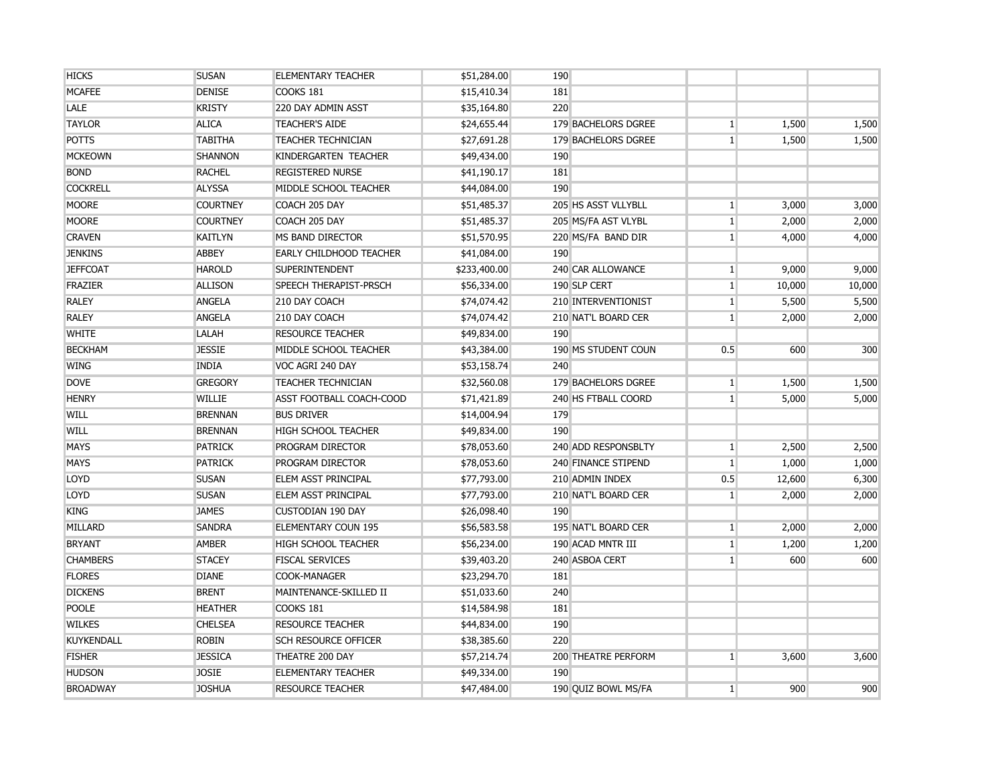| <b>HICKS</b>    | <b>SUSAN</b>    | ELEMENTARY TEACHER          | \$51,284.00  | 190                 |                |        |        |
|-----------------|-----------------|-----------------------------|--------------|---------------------|----------------|--------|--------|
| <b>MCAFEE</b>   | <b>DENISE</b>   | COOKS 181                   | \$15,410.34  | 181                 |                |        |        |
| <b>LALE</b>     | <b>KRISTY</b>   | 220 DAY ADMIN ASST          | \$35,164.80  | 220                 |                |        |        |
| <b>TAYLOR</b>   | <b>ALICA</b>    | <b>TEACHER'S AIDE</b>       | \$24,655.44  | 179 BACHELORS DGREE | $\mathbf{1}$   | 1,500  | 1,500  |
| <b>POTTS</b>    | <b>TABITHA</b>  | <b>TEACHER TECHNICIAN</b>   | \$27,691.28  | 179 BACHELORS DGREE | $\mathbf{1}$   | 1,500  | 1,500  |
| <b>MCKEOWN</b>  | <b>SHANNON</b>  | KINDERGARTEN TEACHER        | \$49,434.00  | 190                 |                |        |        |
| <b>BOND</b>     | <b>RACHEL</b>   | <b>REGISTERED NURSE</b>     | \$41,190.17  | 181                 |                |        |        |
| <b>COCKRELL</b> | <b>ALYSSA</b>   | MIDDLE SCHOOL TEACHER       | \$44,084.00  | 190                 |                |        |        |
| <b>MOORE</b>    | <b>COURTNEY</b> | COACH 205 DAY               | \$51,485.37  | 205 HS ASST VLLYBLL | $\mathbf{1}$   | 3,000  | 3,000  |
| <b>MOORE</b>    | <b>COURTNEY</b> | COACH 205 DAY               | \$51,485.37  | 205 MS/FA AST VLYBL | 1              | 2,000  | 2,000  |
| <b>CRAVEN</b>   | <b>KAITLYN</b>  | MS BAND DIRECTOR            | \$51,570.95  | 220 MS/FA BAND DIR  | $\mathbf{1}$   | 4,000  | 4,000  |
| <b>JENKINS</b>  | ABBEY           | EARLY CHILDHOOD TEACHER     | \$41,084.00  | 190                 |                |        |        |
| <b>JEFFCOAT</b> | <b>HAROLD</b>   | <b>SUPERINTENDENT</b>       | \$233,400.00 | 240 CAR ALLOWANCE   | $\mathbf{1}$   | 9,000  | 9,000  |
| <b>FRAZIER</b>  | <b>ALLISON</b>  | SPEECH THERAPIST-PRSCH      | \$56,334.00  | 190 SLP CERT        | $\mathbf{1}$   | 10,000 | 10,000 |
| <b>RALEY</b>    | <b>ANGELA</b>   | 210 DAY COACH               | \$74,074.42  | 210 INTERVENTIONIST | $\mathbf{1}$   | 5,500  | 5,500  |
| <b>RALEY</b>    | <b>ANGELA</b>   | 210 DAY COACH               | \$74,074.42  | 210 NAT'L BOARD CER | $\mathbf{1}$   | 2,000  | 2,000  |
| <b>WHITE</b>    | LALAH           | <b>RESOURCE TEACHER</b>     | \$49,834.00  | 190                 |                |        |        |
| <b>BECKHAM</b>  | <b>JESSIE</b>   | MIDDLE SCHOOL TEACHER       | \$43,384.00  | 190 MS STUDENT COUN | 0.5            | 600    | 300    |
| <b>WING</b>     | <b>INDIA</b>    | VOC AGRI 240 DAY            | \$53,158.74  | 240                 |                |        |        |
| <b>DOVE</b>     | <b>GREGORY</b>  | <b>TEACHER TECHNICIAN</b>   | \$32,560.08  | 179 BACHELORS DGREE | $\mathbf{1}$   | 1,500  | 1,500  |
| <b>HENRY</b>    | <b>WILLIE</b>   | ASST FOOTBALL COACH-COOD    | \$71,421.89  | 240 HS FTBALL COORD | $\mathbf{1}$   | 5,000  | 5,000  |
| WILL            | <b>BRENNAN</b>  | <b>BUS DRIVER</b>           | \$14,004.94  | 179                 |                |        |        |
| WILL            | <b>BRENNAN</b>  | <b>HIGH SCHOOL TEACHER</b>  | \$49,834.00  | 190                 |                |        |        |
| <b>MAYS</b>     | <b>PATRICK</b>  | PROGRAM DIRECTOR            | \$78,053.60  | 240 ADD RESPONSBLTY | $\mathbf{1}$   | 2,500  | 2,500  |
| <b>MAYS</b>     | <b>PATRICK</b>  | PROGRAM DIRECTOR            | \$78,053.60  | 240 FINANCE STIPEND | $1\vert$       | 1,000  | 1,000  |
| LOYD            | <b>SUSAN</b>    | <b>ELEM ASST PRINCIPAL</b>  | \$77,793.00  | 210 ADMIN INDEX     | 0.5            | 12,600 | 6,300  |
| LOYD            | <b>SUSAN</b>    | <b>ELEM ASST PRINCIPAL</b>  | \$77,793.00  | 210 NAT'L BOARD CER | 1              | 2,000  | 2,000  |
| <b>KING</b>     | <b>JAMES</b>    | <b>CUSTODIAN 190 DAY</b>    | \$26,098.40  | 190                 |                |        |        |
| MILLARD         | <b>SANDRA</b>   | <b>ELEMENTARY COUN 195</b>  | \$56,583.58  | 195 NAT'L BOARD CER | $1\vert$       | 2,000  | 2,000  |
| <b>BRYANT</b>   | <b>AMBER</b>    | <b>HIGH SCHOOL TEACHER</b>  | \$56,234.00  | 190 ACAD MNTR III   | $1\vert$       | 1,200  | 1,200  |
| <b>CHAMBERS</b> | <b>STACEY</b>   | <b>FISCAL SERVICES</b>      | \$39,403.20  | 240 ASBOA CERT      | $\mathbf{1}$   | 600    | 600    |
| <b>FLORES</b>   | <b>DIANE</b>    | COOK-MANAGER                | \$23,294.70  | 181                 |                |        |        |
| <b>DICKENS</b>  | <b>BRENT</b>    | MAINTENANCE-SKILLED II      | \$51,033.60  | 240                 |                |        |        |
| <b>POOLE</b>    | <b>HEATHER</b>  | COOKS 181                   | \$14,584.98  | 181                 |                |        |        |
| <b>WILKES</b>   | <b>CHELSEA</b>  | <b>RESOURCE TEACHER</b>     | \$44,834.00  | 190                 |                |        |        |
| KUYKENDALL      | <b>ROBIN</b>    | <b>SCH RESOURCE OFFICER</b> | \$38,385.60  | 220                 |                |        |        |
| <b>FISHER</b>   | <b>JESSICA</b>  | THEATRE 200 DAY             | \$57,214.74  | 200 THEATRE PERFORM | 1 <sup>1</sup> | 3,600  | 3,600  |
| <b>HUDSON</b>   | <b>JOSIE</b>    | <b>ELEMENTARY TEACHER</b>   | \$49,334.00  | 190                 |                |        |        |
| <b>BROADWAY</b> | <b>JOSHUA</b>   | RESOURCE TEACHER            | \$47,484.00  | 190 OUIZ BOWL MS/FA | 1 <sup>1</sup> | 900    | 900    |
|                 |                 |                             |              |                     |                |        |        |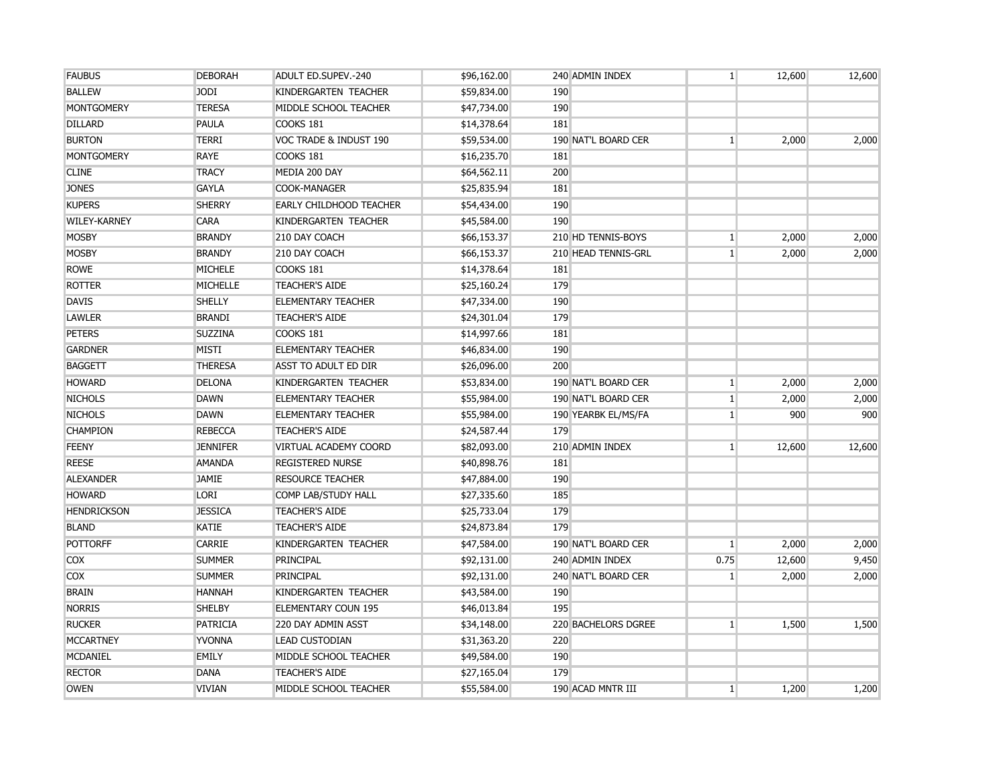| <b>FAUBUS</b>       | <b>DEBORAH</b>  | <b>ADULT ED.SUPEV.-240</b>     | \$96,162.00 | 240 ADMIN INDEX     | $1 \vert$      | 12,600 | 12,600 |
|---------------------|-----------------|--------------------------------|-------------|---------------------|----------------|--------|--------|
| <b>BALLEW</b>       | <b>JODI</b>     | KINDERGARTEN TEACHER           | \$59,834.00 | 190                 |                |        |        |
| <b>MONTGOMERY</b>   | <b>TERESA</b>   | MIDDLE SCHOOL TEACHER          | \$47,734.00 | 190                 |                |        |        |
| <b>DILLARD</b>      | PAULA           | COOKS 181                      | \$14,378.64 | 181                 |                |        |        |
| <b>BURTON</b>       | <b>TERRI</b>    | VOC TRADE & INDUST 190         | \$59,534.00 | 190 NAT'L BOARD CER | $\mathbf{1}$   | 2,000  | 2,000  |
| <b>MONTGOMERY</b>   | <b>RAYE</b>     | COOKS 181                      | \$16,235.70 | 181                 |                |        |        |
| <b>CLINE</b>        | <b>TRACY</b>    | MEDIA 200 DAY                  | \$64,562.11 | 200                 |                |        |        |
| <b>JONES</b>        | <b>GAYLA</b>    | COOK-MANAGER                   | \$25,835.94 | 181                 |                |        |        |
| <b>KUPERS</b>       | <b>SHERRY</b>   | <b>EARLY CHILDHOOD TEACHER</b> | \$54,434.00 | 190                 |                |        |        |
| <b>WILEY-KARNEY</b> | <b>CARA</b>     | KINDERGARTEN TEACHER           | \$45,584.00 | 190                 |                |        |        |
| <b>MOSBY</b>        | <b>BRANDY</b>   | 210 DAY COACH                  | \$66,153.37 | 210 HD TENNIS-BOYS  | $\mathbf{1}$   | 2,000  | 2,000  |
| <b>MOSBY</b>        | <b>BRANDY</b>   | 210 DAY COACH                  | \$66,153.37 | 210 HEAD TENNIS-GRL | $\mathbf{1}$   | 2,000  | 2,000  |
| <b>ROWE</b>         | <b>MICHELE</b>  | COOKS 181                      | \$14,378.64 | 181                 |                |        |        |
| <b>ROTTER</b>       | MICHELLE        | <b>TEACHER'S AIDE</b>          | \$25,160.24 | 179                 |                |        |        |
| <b>DAVIS</b>        | <b>SHELLY</b>   | <b>ELEMENTARY TEACHER</b>      | \$47,334.00 | 190                 |                |        |        |
| <b>LAWLER</b>       | <b>BRANDI</b>   | <b>TEACHER'S AIDE</b>          | \$24,301.04 | 179                 |                |        |        |
| <b>PETERS</b>       | <b>SUZZINA</b>  | COOKS 181                      | \$14,997.66 | 181                 |                |        |        |
| <b>GARDNER</b>      | <b>MISTI</b>    | <b>ELEMENTARY TEACHER</b>      | \$46,834.00 | 190                 |                |        |        |
| <b>BAGGETT</b>      | <b>THERESA</b>  | ASST TO ADULT ED DIR           | \$26,096.00 | 200                 |                |        |        |
| <b>HOWARD</b>       | <b>DELONA</b>   | KINDERGARTEN TEACHER           | \$53,834.00 | 190 NAT'L BOARD CER | $1\vert$       | 2,000  | 2,000  |
| <b>NICHOLS</b>      | <b>DAWN</b>     | <b>ELEMENTARY TEACHER</b>      | \$55,984.00 | 190 NAT'L BOARD CER | $1\vert$       | 2,000  | 2,000  |
| <b>NICHOLS</b>      | <b>DAWN</b>     | <b>ELEMENTARY TEACHER</b>      | \$55,984.00 | 190 YEARBK EL/MS/FA | $\mathbf{1}$   | 900    | 900    |
| <b>CHAMPION</b>     | <b>REBECCA</b>  | <b>TEACHER'S AIDE</b>          | \$24,587.44 | 179                 |                |        |        |
| <b>FEENY</b>        | <b>JENNIFER</b> | VIRTUAL ACADEMY COORD          | \$82,093.00 | 210 ADMIN INDEX     | 1 <sup>1</sup> | 12,600 | 12,600 |
| <b>REESE</b>        | <b>AMANDA</b>   | <b>REGISTERED NURSE</b>        | \$40,898.76 | 181                 |                |        |        |
| <b>ALEXANDER</b>    | <b>JAMIE</b>    | <b>RESOURCE TEACHER</b>        | \$47,884.00 | 190                 |                |        |        |
| <b>HOWARD</b>       | <b>LORI</b>     | COMP LAB/STUDY HALL            | \$27,335.60 | 185                 |                |        |        |
| <b>HENDRICKSON</b>  | <b>JESSICA</b>  | <b>TEACHER'S AIDE</b>          | \$25,733.04 | 179                 |                |        |        |
| <b>BLAND</b>        | <b>KATIE</b>    | <b>TEACHER'S AIDE</b>          | \$24,873.84 | 179                 |                |        |        |
| <b>POTTORFF</b>     | <b>CARRIE</b>   | KINDERGARTEN TEACHER           | \$47,584.00 | 190 NAT'L BOARD CER | $\mathbf{1}$   | 2,000  | 2,000  |
| <b>COX</b>          | <b>SUMMER</b>   | PRINCIPAL                      | \$92,131.00 | 240 ADMIN INDEX     | 0.75           | 12,600 | 9,450  |
| <b>COX</b>          | <b>SUMMER</b>   | <b>PRINCIPAL</b>               | \$92,131.00 | 240 NAT'L BOARD CER | $\mathbf{1}$   | 2,000  | 2,000  |
| <b>BRAIN</b>        | <b>HANNAH</b>   | KINDERGARTEN TEACHER           | \$43,584.00 | 190                 |                |        |        |
| <b>NORRIS</b>       | <b>SHELBY</b>   | <b>ELEMENTARY COUN 195</b>     | \$46,013.84 | 195                 |                |        |        |
| <b>RUCKER</b>       | <b>PATRICIA</b> | 220 DAY ADMIN ASST             | \$34,148.00 | 220 BACHELORS DGREE | $\mathbf{1}$   | 1,500  | 1,500  |
| <b>MCCARTNEY</b>    | <b>YVONNA</b>   | <b>LEAD CUSTODIAN</b>          | \$31,363.20 | 220                 |                |        |        |
| <b>MCDANIEL</b>     | <b>EMILY</b>    | MIDDLE SCHOOL TEACHER          | \$49,584.00 | 190                 |                |        |        |
| <b>RECTOR</b>       | <b>DANA</b>     | <b>TEACHER'S AIDE</b>          | \$27,165.04 | 179                 |                |        |        |
| <b>OWEN</b>         | <b>VIVIAN</b>   | MIDDLE SCHOOL TEACHER          | \$55,584.00 | 190 ACAD MNTR III   | 1 <sup>1</sup> | 1,200  | 1,200  |
|                     |                 |                                |             |                     |                |        |        |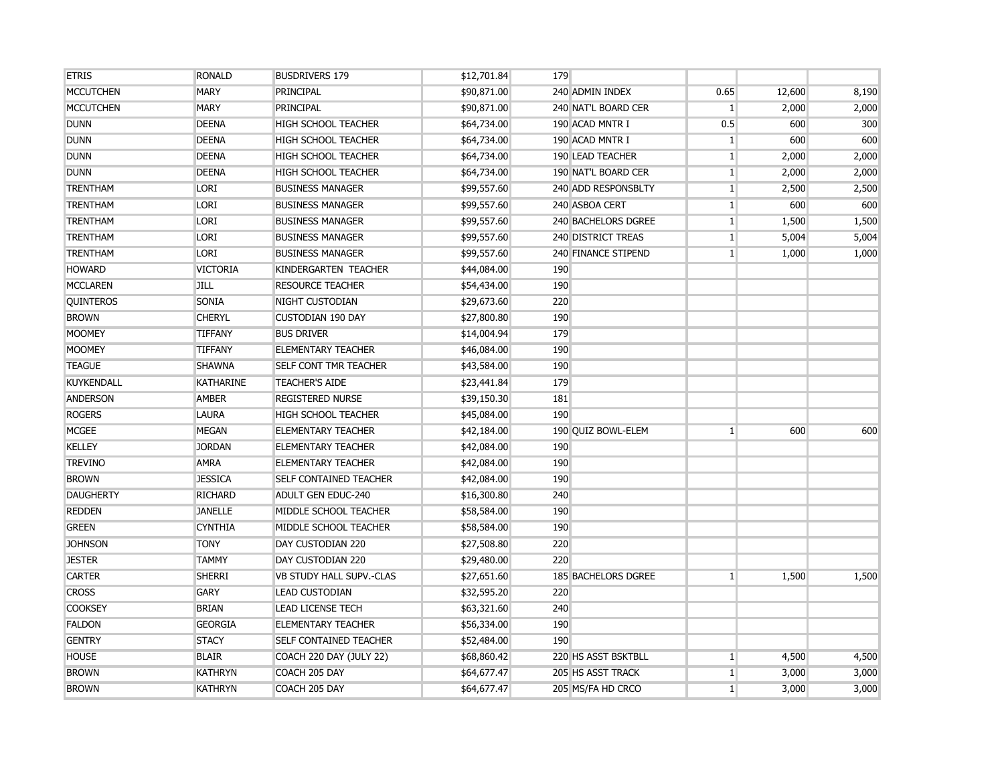| <b>ETRIS</b>     | <b>RONALD</b>    | <b>BUSDRIVERS 179</b>           | \$12,701.84 | 179                        |                 |        |       |
|------------------|------------------|---------------------------------|-------------|----------------------------|-----------------|--------|-------|
| <b>MCCUTCHEN</b> | <b>MARY</b>      | PRINCIPAL                       | \$90,871.00 | 240 ADMIN INDEX            | 0.65            | 12,600 | 8,190 |
| <b>MCCUTCHEN</b> | <b>MARY</b>      | PRINCIPAL                       | \$90,871.00 | 240 NAT'L BOARD CER        | $\mathbf{1}$    | 2,000  | 2,000 |
| <b>DUNN</b>      | <b>DEENA</b>     | <b>HIGH SCHOOL TEACHER</b>      | \$64,734.00 | 190 ACAD MNTR I            | 0.5             | 600    | 300   |
| <b>DUNN</b>      | <b>DEENA</b>     | <b>HIGH SCHOOL TEACHER</b>      | \$64,734.00 | 190 ACAD MNTR I            | $\vert$ 1       | 600    | 600   |
| <b>DUNN</b>      | <b>DEENA</b>     | <b>HIGH SCHOOL TEACHER</b>      | \$64,734.00 | 190 LEAD TEACHER           | $\mathbf{1}$    | 2,000  | 2,000 |
| <b>DUNN</b>      | <b>DEENA</b>     | <b>HIGH SCHOOL TEACHER</b>      | \$64,734.00 | 190 NAT'L BOARD CER        | $\mathbf{1}$    | 2,000  | 2,000 |
| <b>TRENTHAM</b>  | <b>LORI</b>      | <b>BUSINESS MANAGER</b>         | \$99,557.60 | 240 ADD RESPONSBLTY        | $\mathbf{1}$    | 2,500  | 2,500 |
| <b>TRENTHAM</b>  | <b>LORI</b>      | <b>BUSINESS MANAGER</b>         | \$99,557.60 | 240 ASBOA CERT             | $\mathbf{1}$    | 600    | 600   |
| <b>TRENTHAM</b>  | <b>LORI</b>      | <b>BUSINESS MANAGER</b>         | \$99,557.60 | <b>240 BACHELORS DGREE</b> | $\mathbf{1}$    | 1,500  | 1,500 |
| <b>TRENTHAM</b>  | <b>LORI</b>      | <b>BUSINESS MANAGER</b>         | \$99,557.60 | 240 DISTRICT TREAS         | $\mathbf{1}$    | 5,004  | 5,004 |
| <b>TRENTHAM</b>  | <b>LORI</b>      | <b>BUSINESS MANAGER</b>         | \$99,557.60 | <b>240 FINANCE STIPEND</b> | $\mathbf{1}$    | 1,000  | 1,000 |
| <b>HOWARD</b>    | <b>VICTORIA</b>  | KINDERGARTEN TEACHER            | \$44,084.00 | 190                        |                 |        |       |
| <b>MCCLAREN</b>  | <b>JILL</b>      | <b>RESOURCE TEACHER</b>         | \$54,434.00 | 190                        |                 |        |       |
| <b>QUINTEROS</b> | SONIA            | <b>NIGHT CUSTODIAN</b>          | \$29,673.60 | 220                        |                 |        |       |
| <b>BROWN</b>     | <b>CHERYL</b>    | <b>CUSTODIAN 190 DAY</b>        | \$27,800.80 | 190                        |                 |        |       |
| <b>MOOMEY</b>    | <b>TIFFANY</b>   | <b>BUS DRIVER</b>               | \$14,004.94 | 179                        |                 |        |       |
| <b>MOOMEY</b>    | <b>TIFFANY</b>   | <b>ELEMENTARY TEACHER</b>       | \$46,084.00 | 190                        |                 |        |       |
| <b>TEAGUE</b>    | <b>SHAWNA</b>    | <b>SELF CONT TMR TEACHER</b>    | \$43,584.00 | 190                        |                 |        |       |
| KUYKENDALL       | <b>KATHARINE</b> | <b>TEACHER'S AIDE</b>           | \$23,441.84 | 179                        |                 |        |       |
| <b>ANDERSON</b>  | <b>AMBER</b>     | <b>REGISTERED NURSE</b>         | \$39,150.30 | 181                        |                 |        |       |
| <b>ROGERS</b>    | <b>LAURA</b>     | <b>HIGH SCHOOL TEACHER</b>      | \$45,084.00 | 190                        |                 |        |       |
| <b>MCGEE</b>     | <b>MEGAN</b>     | <b>ELEMENTARY TEACHER</b>       | \$42,184.00 | 190 OUIZ BOWL-ELEM         | $\mathbf{1}$    | 600    | 600   |
| <b>KELLEY</b>    | <b>JORDAN</b>    | <b>ELEMENTARY TEACHER</b>       | \$42,084.00 | 190                        |                 |        |       |
| <b>TREVINO</b>   | <b>AMRA</b>      | <b>ELEMENTARY TEACHER</b>       | \$42,084.00 | 190                        |                 |        |       |
| <b>BROWN</b>     | <b>JESSICA</b>   | <b>SELF CONTAINED TEACHER</b>   | \$42,084.00 | 190                        |                 |        |       |
| <b>DAUGHERTY</b> | <b>RICHARD</b>   | <b>ADULT GEN EDUC-240</b>       | \$16,300.80 | 240                        |                 |        |       |
| <b>REDDEN</b>    | <b>JANELLE</b>   | MIDDLE SCHOOL TEACHER           | \$58,584.00 | 190                        |                 |        |       |
| <b>GREEN</b>     | <b>CYNTHIA</b>   | MIDDLE SCHOOL TEACHER           | \$58,584.00 | 190                        |                 |        |       |
| <b>JOHNSON</b>   | <b>TONY</b>      | DAY CUSTODIAN 220               | \$27,508.80 | 220                        |                 |        |       |
| <b>JESTER</b>    | <b>TAMMY</b>     | DAY CUSTODIAN 220               | \$29,480.00 | 220                        |                 |        |       |
| <b>CARTER</b>    | <b>SHERRI</b>    | <b>VB STUDY HALL SUPV.-CLAS</b> | \$27,651.60 | 185 BACHELORS DGREE        | $\mathbf{1}$    | 1,500  | 1,500 |
| <b>CROSS</b>     | <b>GARY</b>      | <b>LEAD CUSTODIAN</b>           | \$32,595.20 | 220                        |                 |        |       |
| <b>COOKSEY</b>   | <b>BRIAN</b>     | <b>LEAD LICENSE TECH</b>        | \$63,321.60 | 240                        |                 |        |       |
| <b>FALDON</b>    | <b>GEORGIA</b>   | <b>ELEMENTARY TEACHER</b>       | \$56,334.00 | 190                        |                 |        |       |
| <b>GENTRY</b>    | <b>STACY</b>     | <b>SELF CONTAINED TEACHER</b>   | \$52,484.00 | 190                        |                 |        |       |
| <b>HOUSE</b>     | <b>BLAIR</b>     | <b>COACH 220 DAY (JULY 22)</b>  | \$68,860.42 | 220 HS ASST BSKTBLL        | $\mathbf{1}$    | 4,500  | 4,500 |
| <b>BROWN</b>     | <b>KATHRYN</b>   | COACH 205 DAY                   | \$64,677.47 | 205 HS ASST TRACK          | $\mathbf{1}$    | 3,000  | 3,000 |
| <b>BROWN</b>     | <b>KATHRYN</b>   | COACH 205 DAY                   | \$64,677.47 | 205 MS/FA HD CRCO          | $1\overline{ }$ | 3,000  | 3,000 |
|                  |                  |                                 |             |                            |                 |        |       |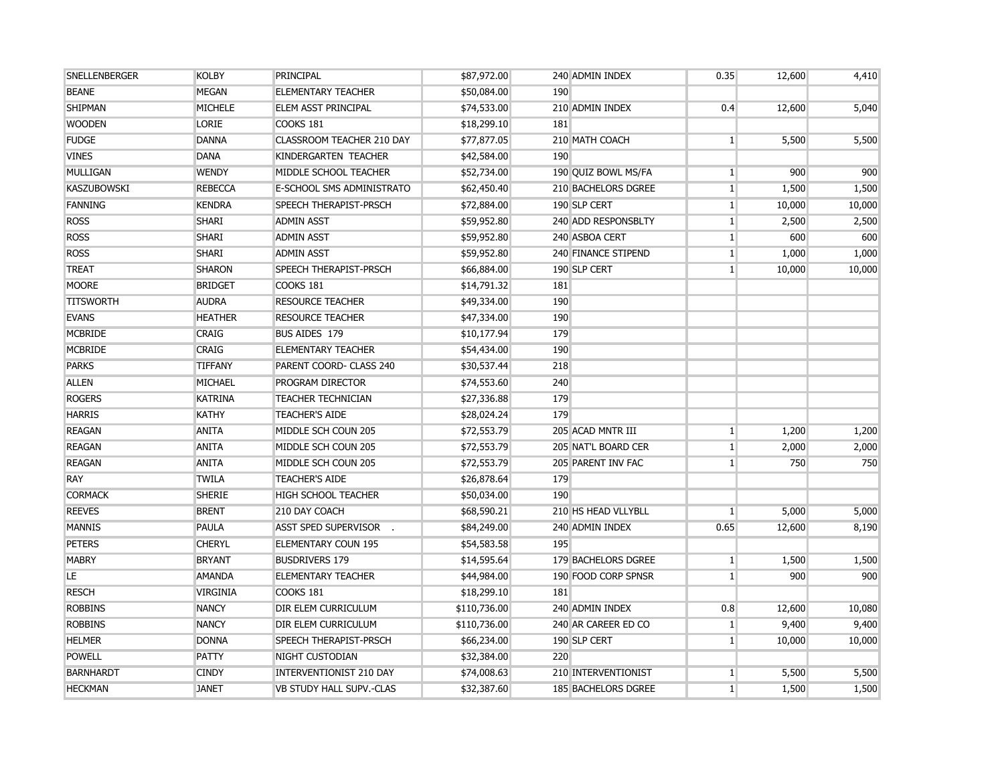| SNELLENBERGER      | <b>KOLBY</b>    | PRINCIPAL                      | \$87,972.00  | 240 ADMIN INDEX     | 0.35         | 12,600 | 4,410  |
|--------------------|-----------------|--------------------------------|--------------|---------------------|--------------|--------|--------|
| <b>BEANE</b>       | <b>MEGAN</b>    | <b>ELEMENTARY TEACHER</b>      | \$50,084.00  | 190                 |              |        |        |
| <b>SHIPMAN</b>     | <b>MICHELE</b>  | <b>ELEM ASST PRINCIPAL</b>     | \$74,533.00  | 210 ADMIN INDEX     | 0.4          | 12,600 | 5,040  |
| <b>WOODEN</b>      | LORIE           | COOKS 181                      | \$18,299.10  | 181                 |              |        |        |
| <b>FUDGE</b>       | <b>DANNA</b>    | CLASSROOM TEACHER 210 DAY      | \$77,877.05  | 210 MATH COACH      | $\mathbf{1}$ | 5,500  | 5,500  |
| <b>VINES</b>       | <b>DANA</b>     | KINDERGARTEN TEACHER           | \$42,584.00  | 190                 |              |        |        |
| MULLIGAN           | <b>WENDY</b>    | MIDDLE SCHOOL TEACHER          | \$52,734.00  | 190 QUIZ BOWL MS/FA | $\mathbf{1}$ | 900    | 900    |
| <b>KASZUBOWSKI</b> | <b>REBECCA</b>  | E-SCHOOL SMS ADMINISTRATO      | \$62,450.40  | 210 BACHELORS DGREE | 1            | 1,500  | 1,500  |
| <b>FANNING</b>     | <b>KENDRA</b>   | SPEECH THERAPIST-PRSCH         | \$72,884.00  | 190 SLP CERT        | $\mathbf{1}$ | 10,000 | 10,000 |
| <b>ROSS</b>        | <b>SHARI</b>    | <b>ADMIN ASST</b>              | \$59,952.80  | 240 ADD RESPONSBLTY | $\mathbf{1}$ | 2,500  | 2,500  |
| <b>ROSS</b>        | <b>SHARI</b>    | <b>ADMIN ASST</b>              | \$59,952.80  | 240 ASBOA CERT      | $\mathbf{1}$ | 600    | 600    |
| <b>ROSS</b>        | <b>SHARI</b>    | <b>ADMIN ASST</b>              | \$59,952.80  | 240 FINANCE STIPEND | $\mathbf{1}$ | 1,000  | 1,000  |
| <b>TREAT</b>       | <b>SHARON</b>   | SPEECH THERAPIST-PRSCH         | \$66,884.00  | 190 SLP CERT        | $\mathbf{1}$ | 10,000 | 10,000 |
| <b>MOORE</b>       | <b>BRIDGET</b>  | COOKS 181                      | \$14,791.32  | 181                 |              |        |        |
| <b>TITSWORTH</b>   | <b>AUDRA</b>    | <b>RESOURCE TEACHER</b>        | \$49,334.00  | 190                 |              |        |        |
| <b>EVANS</b>       | <b>HEATHER</b>  | <b>RESOURCE TEACHER</b>        | \$47,334.00  | 190                 |              |        |        |
| <b>MCBRIDE</b>     | <b>CRAIG</b>    | BUS AIDES 179                  | \$10,177.94  | 179                 |              |        |        |
| <b>MCBRIDE</b>     | <b>CRAIG</b>    | <b>ELEMENTARY TEACHER</b>      | \$54,434.00  | 190                 |              |        |        |
| <b>PARKS</b>       | <b>TIFFANY</b>  | PARENT COORD- CLASS 240        | \$30,537.44  | 218                 |              |        |        |
| <b>ALLEN</b>       | MICHAEL         | PROGRAM DIRECTOR               | \$74,553.60  | 240                 |              |        |        |
| <b>ROGERS</b>      | <b>KATRINA</b>  | <b>TEACHER TECHNICIAN</b>      | \$27,336.88  | 179                 |              |        |        |
| <b>HARRIS</b>      | <b>KATHY</b>    | <b>TEACHER'S AIDE</b>          | \$28,024.24  | 179                 |              |        |        |
| <b>REAGAN</b>      | <b>ANITA</b>    | MIDDLE SCH COUN 205            | \$72,553.79  | 205 ACAD MNTR III   | $\mathbf{1}$ | 1,200  | 1,200  |
| <b>REAGAN</b>      | <b>ANITA</b>    | MIDDLE SCH COUN 205            | \$72,553.79  | 205 NAT'L BOARD CER | $\mathbf{1}$ | 2,000  | 2,000  |
| <b>REAGAN</b>      | <b>ANITA</b>    | MIDDLE SCH COUN 205            | \$72,553.79  | 205 PARENT INV FAC  | $\mathbf{1}$ | 750    | 750    |
| <b>RAY</b>         | <b>TWILA</b>    | <b>TEACHER'S AIDE</b>          | \$26,878.64  | 179                 |              |        |        |
| <b>CORMACK</b>     | <b>SHERIE</b>   | <b>HIGH SCHOOL TEACHER</b>     | \$50,034.00  | 190                 |              |        |        |
| <b>REEVES</b>      | <b>BRENT</b>    | 210 DAY COACH                  | \$68,590.21  | 210 HS HEAD VLLYBLL | $1\vert$     | 5,000  | 5,000  |
| <b>MANNIS</b>      | PAULA           | <b>ASST SPED SUPERVISOR</b>    | \$84,249.00  | 240 ADMIN INDEX     | 0.65         | 12,600 | 8,190  |
| <b>PETERS</b>      | <b>CHERYL</b>   | <b>ELEMENTARY COUN 195</b>     | \$54,583.58  | 195                 |              |        |        |
| <b>MABRY</b>       | <b>BRYANT</b>   | <b>BUSDRIVERS 179</b>          | \$14,595.64  | 179 BACHELORS DGREE | $\mathbf{1}$ | 1,500  | 1,500  |
| LE                 | <b>AMANDA</b>   | <b>ELEMENTARY TEACHER</b>      | \$44,984.00  | 190 FOOD CORP SPNSR | $\mathbf{1}$ | 900    | 900    |
| <b>RESCH</b>       | <b>VIRGINIA</b> | COOKS 181                      | \$18,299.10  | 181                 |              |        |        |
| <b>ROBBINS</b>     | <b>NANCY</b>    | DIR ELEM CURRICULUM            | \$110,736.00 | 240 ADMIN INDEX     | 0.8          | 12,600 | 10,080 |
| <b>ROBBINS</b>     | <b>NANCY</b>    | DIR ELEM CURRICULUM            | \$110,736.00 | 240 AR CAREER ED CO | $\mathbf{1}$ | 9,400  | 9,400  |
| <b>HELMER</b>      | <b>DONNA</b>    | SPEECH THERAPIST-PRSCH         | \$66,234.00  | 190 SLP CERT        | $\mathbf{1}$ | 10,000 | 10,000 |
| <b>POWELL</b>      | <b>PATTY</b>    | NIGHT CUSTODIAN                | \$32,384.00  | 220                 |              |        |        |
| <b>BARNHARDT</b>   | <b>CINDY</b>    | <b>INTERVENTIONIST 210 DAY</b> | \$74,008.63  | 210 INTERVENTIONIST | $\mathbf{1}$ | 5,500  | 5,500  |
| <b>HECKMAN</b>     | <b>JANET</b>    | VB STUDY HALL SUPV.-CLAS       | \$32,387.60  | 185 BACHELORS DGREE | $\mathbf{1}$ | 1,500  | 1,500  |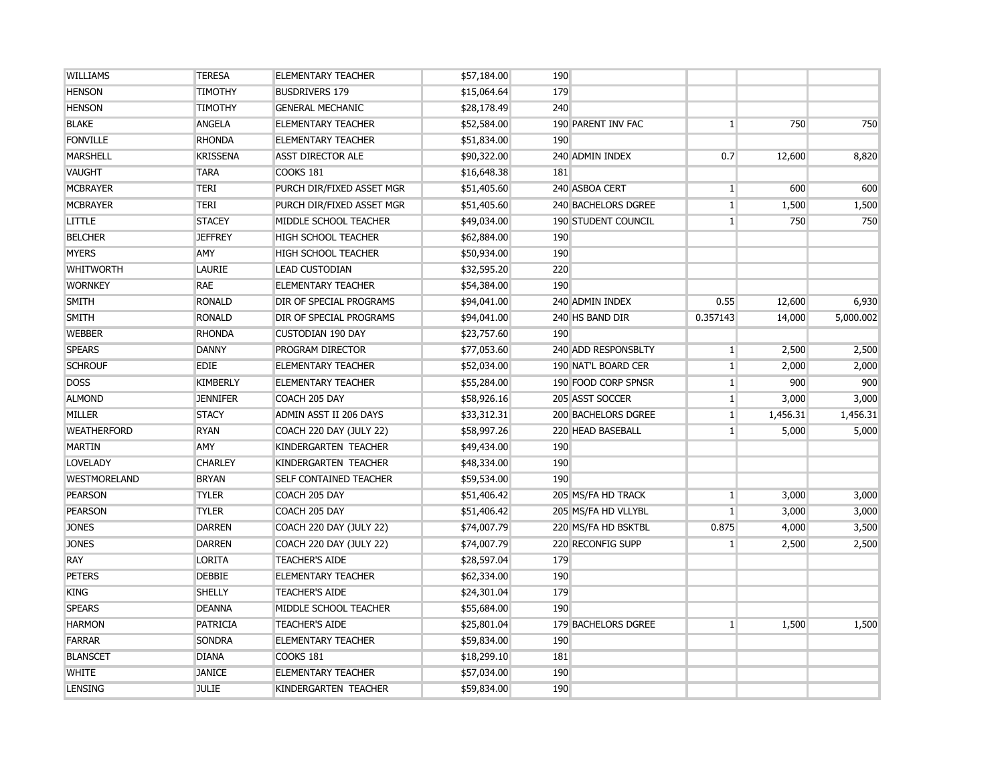| <b>WILLIAMS</b>     | <b>TERESA</b>   | <b>ELEMENTARY TEACHER</b>     | \$57,184.00 | 190                 |              |          |           |
|---------------------|-----------------|-------------------------------|-------------|---------------------|--------------|----------|-----------|
| <b>HENSON</b>       | <b>TIMOTHY</b>  | <b>BUSDRIVERS 179</b>         | \$15,064.64 | 179                 |              |          |           |
| <b>HENSON</b>       | <b>TIMOTHY</b>  | <b>GENERAL MECHANIC</b>       | \$28,178.49 | 240                 |              |          |           |
| <b>BLAKE</b>        | <b>ANGELA</b>   | <b>ELEMENTARY TEACHER</b>     | \$52,584.00 | 190 PARENT INV FAC  | $\mathbf{1}$ | 750      | 750       |
| <b>FONVILLE</b>     | <b>RHONDA</b>   | <b>ELEMENTARY TEACHER</b>     | \$51,834.00 | 190                 |              |          |           |
| <b>MARSHELL</b>     | <b>KRISSENA</b> | <b>ASST DIRECTOR ALE</b>      | \$90,322.00 | 240 ADMIN INDEX     | 0.7          | 12,600   | 8,820     |
| <b>VAUGHT</b>       | <b>TARA</b>     | COOKS 181                     | \$16,648.38 | 181                 |              |          |           |
| <b>MCBRAYER</b>     | <b>TERI</b>     | PURCH DIR/FIXED ASSET MGR     | \$51,405.60 | 240 ASBOA CERT      | $\mathbf{1}$ | 600      | 600       |
| <b>MCBRAYER</b>     | <b>TERI</b>     | PURCH DIR/FIXED ASSET MGR     | \$51,405.60 | 240 BACHELORS DGREE | $\mathbf{1}$ | 1,500    | 1,500     |
| <b>LITTLE</b>       | <b>STACEY</b>   | MIDDLE SCHOOL TEACHER         | \$49,034.00 | 190 STUDENT COUNCIL | $\mathbf{1}$ | 750      | 750       |
| <b>BELCHER</b>      | <b>JEFFREY</b>  | <b>HIGH SCHOOL TEACHER</b>    | \$62,884.00 | 190                 |              |          |           |
| <b>MYERS</b>        | AMY             | <b>HIGH SCHOOL TEACHER</b>    | \$50,934.00 | 190                 |              |          |           |
| <b>WHITWORTH</b>    | <b>LAURIE</b>   | <b>LEAD CUSTODIAN</b>         | \$32,595.20 | 220                 |              |          |           |
| <b>WORNKEY</b>      | <b>RAE</b>      | <b>ELEMENTARY TEACHER</b>     | \$54,384.00 | 190                 |              |          |           |
| <b>SMITH</b>        | <b>RONALD</b>   | DIR OF SPECIAL PROGRAMS       | \$94,041.00 | 240 ADMIN INDEX     | 0.55         | 12,600   | 6,930     |
| <b>SMITH</b>        | <b>RONALD</b>   | DIR OF SPECIAL PROGRAMS       | \$94,041.00 | 240 HS BAND DIR     | 0.357143     | 14,000   | 5,000.002 |
| <b>WEBBER</b>       | <b>RHONDA</b>   | <b>CUSTODIAN 190 DAY</b>      | \$23,757.60 | 190                 |              |          |           |
| <b>SPEARS</b>       | <b>DANNY</b>    | PROGRAM DIRECTOR              | \$77,053.60 | 240 ADD RESPONSBLTY | $\mathbf{1}$ | 2,500    | 2,500     |
| <b>SCHROUF</b>      | <b>EDIE</b>     | <b>ELEMENTARY TEACHER</b>     | \$52,034.00 | 190 NAT'L BOARD CER | $\mathbf{1}$ | 2,000    | 2,000     |
| <b>DOSS</b>         | <b>KIMBERLY</b> | <b>ELEMENTARY TEACHER</b>     | \$55,284.00 | 190 FOOD CORP SPNSR | $\mathbf{1}$ | 900      | 900       |
| <b>ALMOND</b>       | <b>JENNIFER</b> | COACH 205 DAY                 | \$58,926.16 | 205 ASST SOCCER     | $\mathbf{1}$ | 3,000    | 3,000     |
| <b>MILLER</b>       | <b>STACY</b>    | ADMIN ASST II 206 DAYS        | \$33,312.31 | 200 BACHELORS DGREE | 1            | 1,456.31 | 1,456.31  |
| <b>WEATHERFORD</b>  | <b>RYAN</b>     | COACH 220 DAY (JULY 22)       | \$58,997.26 | 220 HEAD BASEBALL   | $\mathbf{1}$ | 5,000    | 5,000     |
| <b>MARTIN</b>       | AMY             | KINDERGARTEN TEACHER          | \$49,434.00 | 190                 |              |          |           |
| <b>LOVELADY</b>     | <b>CHARLEY</b>  | KINDERGARTEN TEACHER          | \$48,334.00 | 190                 |              |          |           |
| <b>WESTMORELAND</b> | <b>BRYAN</b>    | <b>SELF CONTAINED TEACHER</b> | \$59,534.00 | 190                 |              |          |           |
| <b>PEARSON</b>      | <b>TYLER</b>    | COACH 205 DAY                 | \$51,406.42 | 205 MS/FA HD TRACK  | $1\vert$     | 3,000    | 3,000     |
| <b>PEARSON</b>      | <b>TYLER</b>    | COACH 205 DAY                 | \$51,406.42 | 205 MS/FA HD VLLYBL | $\mathbf{1}$ | 3,000    | 3,000     |
| <b>JONES</b>        | <b>DARREN</b>   | COACH 220 DAY (JULY 22)       | \$74,007.79 | 220 MS/FA HD BSKTBL | 0.875        | 4,000    | 3,500     |
| <b>JONES</b>        | <b>DARREN</b>   | COACH 220 DAY (JULY 22)       | \$74,007.79 | 220 RECONFIG SUPP   | $\mathbf{1}$ | 2,500    | 2,500     |
| RAY                 | <b>LORITA</b>   | <b>TEACHER'S AIDE</b>         | \$28,597.04 | 179                 |              |          |           |
| <b>PETERS</b>       | <b>DEBBIE</b>   | <b>ELEMENTARY TEACHER</b>     | \$62,334.00 | 190                 |              |          |           |
| <b>KING</b>         | <b>SHELLY</b>   | <b>TEACHER'S AIDE</b>         | \$24,301.04 | 179                 |              |          |           |
| <b>SPEARS</b>       | <b>DEANNA</b>   | MIDDLE SCHOOL TEACHER         | \$55,684.00 | 190                 |              |          |           |
| <b>HARMON</b>       | <b>PATRICIA</b> | <b>TEACHER'S AIDE</b>         | \$25,801.04 | 179 BACHELORS DGREE | $\mathbf{1}$ | 1,500    | 1,500     |
| <b>FARRAR</b>       | <b>SONDRA</b>   | <b>ELEMENTARY TEACHER</b>     | \$59,834.00 | 190                 |              |          |           |
| <b>BLANSCET</b>     | <b>DIANA</b>    | COOKS 181                     | \$18,299.10 | 181                 |              |          |           |
| <b>WHITE</b>        | <b>JANICE</b>   | <b>ELEMENTARY TEACHER</b>     | \$57,034.00 | 190                 |              |          |           |
| <b>LENSING</b>      | <b>JULIE</b>    | KINDERGARTEN TEACHER          | \$59,834.00 | 190                 |              |          |           |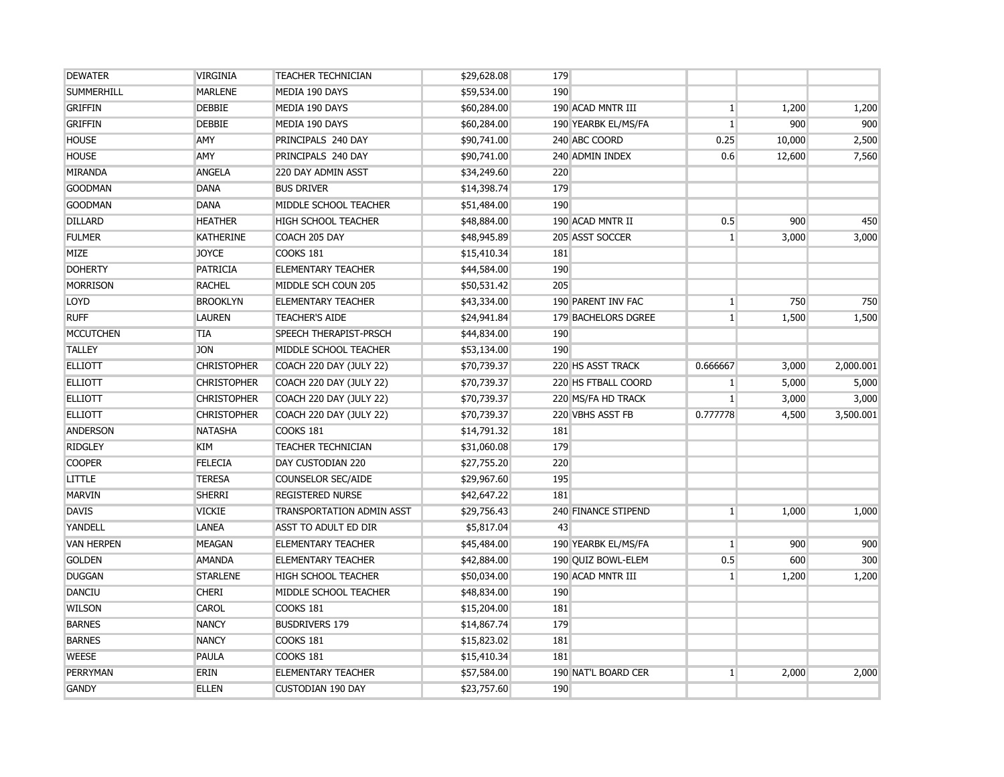| <b>DEWATER</b>    | <b>VIRGINIA</b>    | <b>TEACHER TECHNICIAN</b>        | \$29,628.08 | 179 |                     |                |        |           |
|-------------------|--------------------|----------------------------------|-------------|-----|---------------------|----------------|--------|-----------|
| <b>SUMMERHILL</b> | <b>MARLENE</b>     | MEDIA 190 DAYS                   | \$59,534.00 | 190 |                     |                |        |           |
| <b>GRIFFIN</b>    | <b>DEBBIE</b>      | MEDIA 190 DAYS                   | \$60,284.00 |     | 190 ACAD MNTR III   | $\mathbf{1}$   | 1,200  | 1,200     |
| <b>GRIFFIN</b>    | <b>DEBBIE</b>      | MEDIA 190 DAYS                   | \$60,284.00 |     | 190 YEARBK EL/MS/FA | $\mathbf{1}$   | 900    | 900       |
| <b>HOUSE</b>      | AMY                | PRINCIPALS 240 DAY               | \$90,741.00 |     | 240 ABC COORD       | 0.25           | 10,000 | 2,500     |
| <b>HOUSE</b>      | AMY                | PRINCIPALS 240 DAY               | \$90,741.00 |     | 240 ADMIN INDEX     | 0.6            | 12,600 | 7,560     |
| <b>MIRANDA</b>    | <b>ANGELA</b>      | 220 DAY ADMIN ASST               | \$34,249.60 | 220 |                     |                |        |           |
| <b>GOODMAN</b>    | <b>DANA</b>        | <b>BUS DRIVER</b>                | \$14,398.74 | 179 |                     |                |        |           |
| <b>GOODMAN</b>    | <b>DANA</b>        | MIDDLE SCHOOL TEACHER            | \$51,484.00 | 190 |                     |                |        |           |
| <b>DILLARD</b>    | <b>HEATHER</b>     | <b>HIGH SCHOOL TEACHER</b>       | \$48,884.00 |     | 190 ACAD MNTR II    | 0.5            | 900    | 450       |
| <b>FULMER</b>     | <b>KATHERINE</b>   | COACH 205 DAY                    | \$48,945.89 |     | 205 ASST SOCCER     | $\mathbf{1}$   | 3,000  | 3,000     |
| <b>MIZE</b>       | <b>JOYCE</b>       | COOKS 181                        | \$15,410.34 | 181 |                     |                |        |           |
| <b>DOHERTY</b>    | <b>PATRICIA</b>    | <b>ELEMENTARY TEACHER</b>        | \$44,584.00 | 190 |                     |                |        |           |
| <b>MORRISON</b>   | <b>RACHEL</b>      | MIDDLE SCH COUN 205              | \$50,531.42 | 205 |                     |                |        |           |
| <b>LOYD</b>       | <b>BROOKLYN</b>    | <b>ELEMENTARY TEACHER</b>        | \$43,334.00 |     | 190 PARENT INV FAC  | 1 <sup>1</sup> | 750    | 750       |
| <b>RUFF</b>       | <b>LAUREN</b>      | <b>TEACHER'S AIDE</b>            | \$24,941.84 |     | 179 BACHELORS DGREE | 1 <sup>1</sup> | 1,500  | 1,500     |
| <b>MCCUTCHEN</b>  | <b>TIA</b>         | <b>SPEECH THERAPIST-PRSCH</b>    | \$44,834.00 | 190 |                     |                |        |           |
| <b>TALLEY</b>     | <b>JON</b>         | MIDDLE SCHOOL TEACHER            | \$53,134.00 | 190 |                     |                |        |           |
| <b>ELLIOTT</b>    | <b>CHRISTOPHER</b> | <b>COACH 220 DAY (JULY 22)</b>   | \$70,739.37 |     | 220 HS ASST TRACK   | 0.666667       | 3,000  | 2,000.001 |
| <b>ELLIOTT</b>    | <b>CHRISTOPHER</b> | COACH 220 DAY (JULY 22)          | \$70,739.37 |     | 220 HS FTBALL COORD | 1 <sup>1</sup> | 5,000  | 5,000     |
| <b>ELLIOTT</b>    | <b>CHRISTOPHER</b> | COACH 220 DAY (JULY 22)          | \$70,739.37 |     | 220 MS/FA HD TRACK  | 1 <sup>1</sup> | 3,000  | 3,000     |
| <b>ELLIOTT</b>    | <b>CHRISTOPHER</b> | COACH 220 DAY (JULY 22)          | \$70,739.37 |     | 220 VBHS ASST FB    | 0.777778       | 4,500  | 3,500.001 |
| <b>ANDERSON</b>   | <b>NATASHA</b>     | COOKS 181                        | \$14,791.32 | 181 |                     |                |        |           |
| <b>RIDGLEY</b>    | <b>KIM</b>         | <b>TEACHER TECHNICIAN</b>        | \$31,060.08 | 179 |                     |                |        |           |
| <b>COOPER</b>     | <b>FELECIA</b>     | DAY CUSTODIAN 220                | \$27,755.20 | 220 |                     |                |        |           |
| <b>LITTLE</b>     | <b>TERESA</b>      | <b>COUNSELOR SEC/AIDE</b>        | \$29,967.60 | 195 |                     |                |        |           |
| <b>MARVIN</b>     | <b>SHERRI</b>      | <b>REGISTERED NURSE</b>          | \$42,647.22 | 181 |                     |                |        |           |
| <b>DAVIS</b>      | <b>VICKIE</b>      | <b>TRANSPORTATION ADMIN ASST</b> | \$29,756.43 |     | 240 FINANCE STIPEND | 1 <sup>1</sup> | 1,000  | 1,000     |
| YANDELL           | <b>LANEA</b>       | ASST TO ADULT ED DIR             | \$5,817.04  | 43  |                     |                |        |           |
| <b>VAN HERPEN</b> | <b>MEAGAN</b>      | <b>ELEMENTARY TEACHER</b>        | \$45,484.00 |     | 190 YEARBK EL/MS/FA | $\mathbf{1}$   | 900    | 900       |
| <b>GOLDEN</b>     | <b>AMANDA</b>      | <b>ELEMENTARY TEACHER</b>        | \$42,884.00 |     | 190 OUIZ BOWL-ELEM  | 0.5            | 600    | 300       |
| <b>DUGGAN</b>     | <b>STARLENE</b>    | <b>HIGH SCHOOL TEACHER</b>       | \$50,034.00 |     | 190 ACAD MNTR III   | 1 <sup>1</sup> | 1,200  | 1,200     |
| DANCIU            | <b>CHERI</b>       | MIDDLE SCHOOL TEACHER            | \$48,834.00 | 190 |                     |                |        |           |
| <b>WILSON</b>     | <b>CAROL</b>       | COOKS 181                        | \$15,204.00 | 181 |                     |                |        |           |
| <b>BARNES</b>     | <b>NANCY</b>       | <b>BUSDRIVERS 179</b>            | \$14,867.74 | 179 |                     |                |        |           |
| <b>BARNES</b>     | <b>NANCY</b>       | COOKS 181                        | \$15,823.02 | 181 |                     |                |        |           |
| <b>WEESE</b>      | PAULA              | <b>COOKS 181</b>                 | \$15,410.34 | 181 |                     |                |        |           |
| PERRYMAN          | <b>ERIN</b>        | <b>ELEMENTARY TEACHER</b>        | \$57,584.00 |     | 190 NAT'L BOARD CER | 1 <sup>1</sup> | 2,000  | 2,000     |
| <b>GANDY</b>      | <b>ELLEN</b>       | <b>CUSTODIAN 190 DAY</b>         | \$23,757.60 | 190 |                     |                |        |           |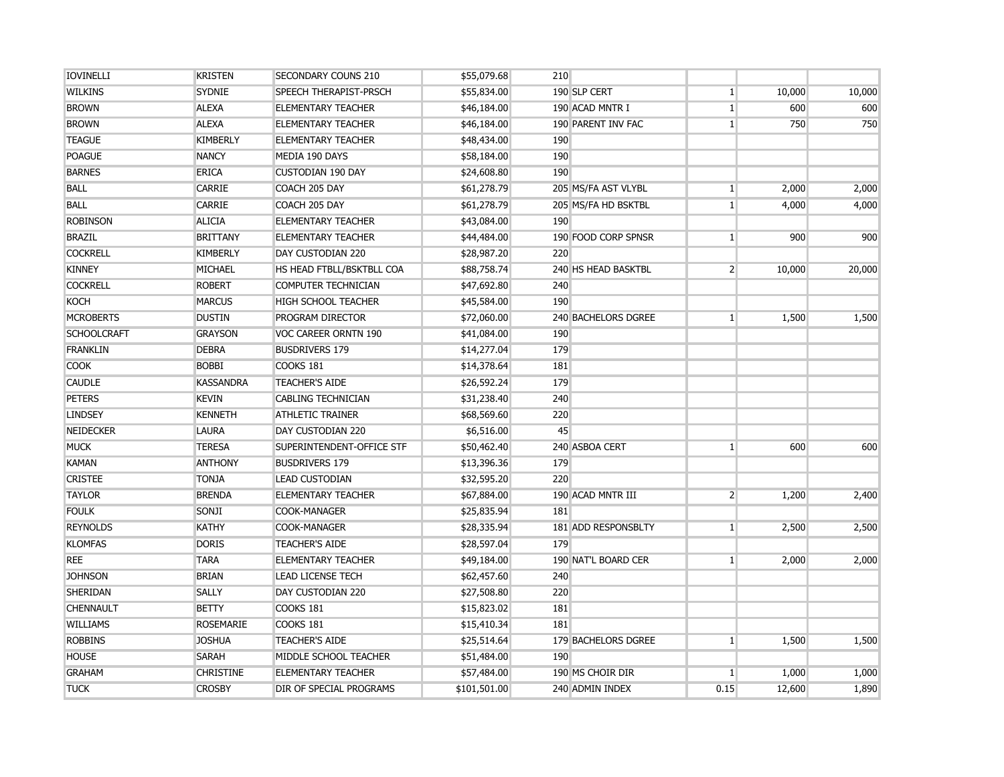| <b>IOVINELLI</b>   | <b>KRISTEN</b>   | SECONDARY COUNS 210       | \$55,079.68  | 210                        |                |        |        |
|--------------------|------------------|---------------------------|--------------|----------------------------|----------------|--------|--------|
| <b>WILKINS</b>     | <b>SYDNIE</b>    | SPEECH THERAPIST-PRSCH    | \$55,834.00  | 190 SLP CERT               | $\vert$ 1      | 10,000 | 10,000 |
| <b>BROWN</b>       | <b>ALEXA</b>     | <b>ELEMENTARY TEACHER</b> | \$46,184.00  | 190 ACAD MNTR I            | $\overline{1}$ | 600    | 600    |
| <b>BROWN</b>       | <b>ALEXA</b>     | <b>ELEMENTARY TEACHER</b> | \$46,184.00  | 190 PARENT INV FAC         | $\mathbf{1}$   | 750    | 750    |
| <b>TEAGUE</b>      | <b>KIMBERLY</b>  | <b>ELEMENTARY TEACHER</b> | \$48,434.00  | 190                        |                |        |        |
| <b>POAGUE</b>      | <b>NANCY</b>     | MEDIA 190 DAYS            | \$58,184.00  | 190                        |                |        |        |
| <b>BARNES</b>      | <b>ERICA</b>     | <b>CUSTODIAN 190 DAY</b>  | \$24,608.80  | 190                        |                |        |        |
| <b>BALL</b>        | <b>CARRIE</b>    | COACH 205 DAY             | \$61,278.79  | 205 MS/FA AST VLYBL        | $\vert$ 1      | 2,000  | 2,000  |
| <b>BALL</b>        | CARRIE           | COACH 205 DAY             | \$61,278.79  | 205 MS/FA HD BSKTBL        | 1 <sup>1</sup> | 4,000  | 4,000  |
| <b>ROBINSON</b>    | <b>ALICIA</b>    | <b>ELEMENTARY TEACHER</b> | \$43,084.00  | 190                        |                |        |        |
| <b>BRAZIL</b>      | <b>BRITTANY</b>  | <b>ELEMENTARY TEACHER</b> | \$44,484.00  | 190 FOOD CORP SPNSR        | $1\vert$       | 900    | 900    |
| <b>COCKRELL</b>    | <b>KIMBERLY</b>  | DAY CUSTODIAN 220         | \$28,987.20  | 220                        |                |        |        |
| <b>KINNEY</b>      | MICHAEL          | HS HEAD FTBLL/BSKTBLL COA | \$88,758.74  | 240 HS HEAD BASKTBL        | $\overline{2}$ | 10,000 | 20,000 |
| <b>COCKRELL</b>    | <b>ROBERT</b>    | COMPUTER TECHNICIAN       | \$47,692.80  | 240                        |                |        |        |
| <b>KOCH</b>        | <b>MARCUS</b>    | HIGH SCHOOL TEACHER       | \$45,584.00  | 190                        |                |        |        |
| <b>MCROBERTS</b>   | <b>DUSTIN</b>    | PROGRAM DIRECTOR          | \$72,060.00  | <b>240 BACHELORS DGREE</b> | $\mathbf{1}$   | 1,500  | 1,500  |
| <b>SCHOOLCRAFT</b> | <b>GRAYSON</b>   | VOC CAREER ORNTN 190      | \$41,084.00  | 190                        |                |        |        |
| <b>FRANKLIN</b>    | <b>DEBRA</b>     | <b>BUSDRIVERS 179</b>     | \$14,277.04  | 179                        |                |        |        |
| <b>COOK</b>        | <b>BOBBI</b>     | COOKS 181                 | \$14,378.64  | 181                        |                |        |        |
| <b>CAUDLE</b>      | <b>KASSANDRA</b> | <b>TEACHER'S AIDE</b>     | \$26,592.24  | 179                        |                |        |        |
| <b>PETERS</b>      | <b>KEVIN</b>     | CABLING TECHNICIAN        | \$31,238.40  | 240                        |                |        |        |
| <b>LINDSEY</b>     | <b>KENNETH</b>   | <b>ATHLETIC TRAINER</b>   | \$68,569.60  | 220                        |                |        |        |
| NEIDECKER          | <b>LAURA</b>     | DAY CUSTODIAN 220         | \$6,516.00   | 45                         |                |        |        |
| <b>MUCK</b>        | <b>TERESA</b>    | SUPERINTENDENT-OFFICE STF | \$50,462.40  | 240 ASBOA CERT             | 1 <sup>1</sup> | 600    | 600    |
| <b>KAMAN</b>       | <b>ANTHONY</b>   | <b>BUSDRIVERS 179</b>     | \$13,396.36  | 179                        |                |        |        |
| <b>CRISTEE</b>     | <b>TONJA</b>     | <b>LEAD CUSTODIAN</b>     | \$32,595.20  | 220                        |                |        |        |
| <b>TAYLOR</b>      | <b>BRENDA</b>    | <b>ELEMENTARY TEACHER</b> | \$67,884.00  | 190 ACAD MNTR III          | $\overline{2}$ | 1,200  | 2,400  |
| <b>FOULK</b>       | SONJI            | <b>COOK-MANAGER</b>       | \$25,835.94  | 181                        |                |        |        |
| <b>REYNOLDS</b>    | <b>KATHY</b>     | COOK-MANAGER              | \$28,335.94  | 181 ADD RESPONSBLTY        | $\mathbf{1}$   | 2,500  | 2,500  |
| <b>KLOMFAS</b>     | <b>DORIS</b>     | <b>TEACHER'S AIDE</b>     | \$28,597.04  | 179                        |                |        |        |
| <b>REE</b>         | <b>TARA</b>      | <b>ELEMENTARY TEACHER</b> | \$49,184.00  | 190 NAT'L BOARD CER        | $\mathbf{1}$   | 2,000  | 2,000  |
| <b>JOHNSON</b>     | <b>BRIAN</b>     | <b>LEAD LICENSE TECH</b>  | \$62,457.60  | 240                        |                |        |        |
| SHERIDAN           | <b>SALLY</b>     | DAY CUSTODIAN 220         | \$27,508.80  | 220                        |                |        |        |
| <b>CHENNAULT</b>   | <b>BETTY</b>     | COOKS 181                 | \$15,823.02  | 181                        |                |        |        |
| <b>WILLIAMS</b>    | <b>ROSEMARIE</b> | COOKS 181                 | \$15,410.34  | 181                        |                |        |        |
| <b>ROBBINS</b>     | <b>JOSHUA</b>    | <b>TEACHER'S AIDE</b>     | \$25,514.64  | 179 BACHELORS DGREE        | $\mathbf{1}$   | 1,500  | 1,500  |
| <b>HOUSE</b>       | <b>SARAH</b>     | MIDDLE SCHOOL TEACHER     | \$51,484.00  | 190                        |                |        |        |
| <b>GRAHAM</b>      | <b>CHRISTINE</b> | <b>ELEMENTARY TEACHER</b> | \$57,484.00  | 190 MS CHOIR DIR           | $\mathbf{1}$   | 1,000  | 1,000  |
| <b>TUCK</b>        | <b>CROSBY</b>    | DIR OF SPECIAL PROGRAMS   | \$101,501.00 | 240 ADMIN INDEX            | 0.15           | 12,600 | 1,890  |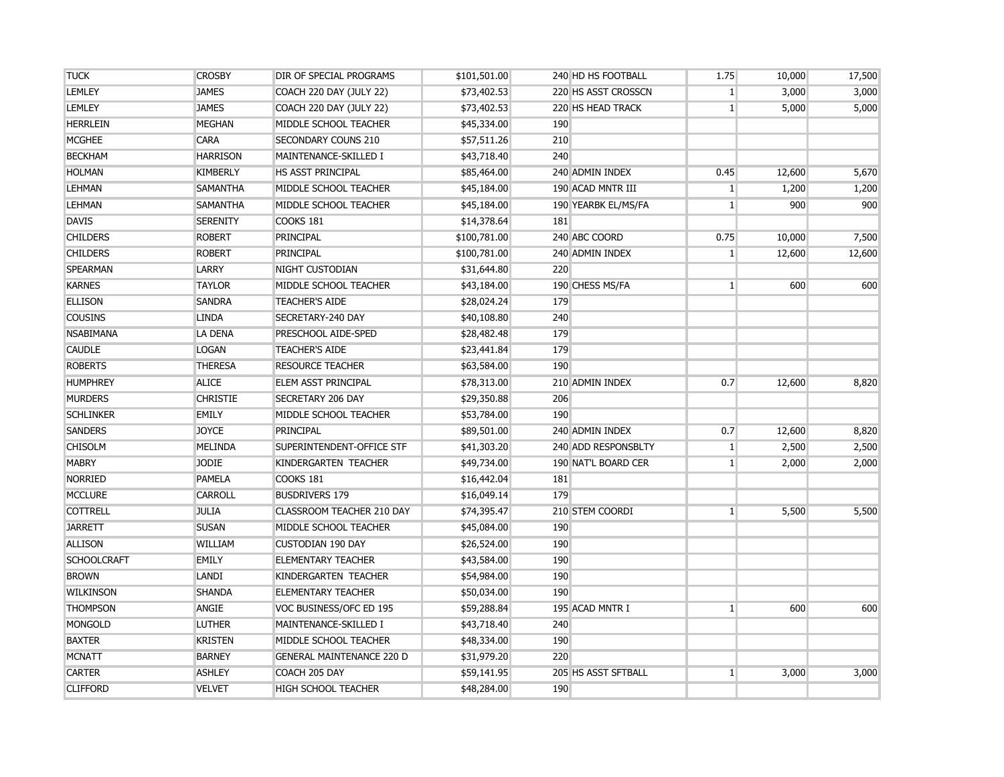| <b>TUCK</b>        | <b>CROSBY</b>   | DIR OF SPECIAL PROGRAMS          | \$101,501.00 | 240 HD HS FOOTBALL  | 1.75           | 10,000 | 17,500 |
|--------------------|-----------------|----------------------------------|--------------|---------------------|----------------|--------|--------|
| <b>LEMLEY</b>      | <b>JAMES</b>    | COACH 220 DAY (JULY 22)          | \$73,402.53  | 220 HS ASST CROSSCN | 1              | 3,000  | 3,000  |
| <b>LEMLEY</b>      | <b>JAMES</b>    | COACH 220 DAY (JULY 22)          | \$73,402.53  | 220 HS HEAD TRACK   | 1              | 5,000  | 5,000  |
| <b>HERRLEIN</b>    | <b>MEGHAN</b>   | MIDDLE SCHOOL TEACHER            | \$45,334.00  | 190                 |                |        |        |
| <b>MCGHEE</b>      | <b>CARA</b>     | <b>SECONDARY COUNS 210</b>       | \$57,511.26  | 210                 |                |        |        |
| <b>BECKHAM</b>     | <b>HARRISON</b> | MAINTENANCE-SKILLED I            | \$43,718.40  | 240                 |                |        |        |
| <b>HOLMAN</b>      | <b>KIMBERLY</b> | HS ASST PRINCIPAL                | \$85,464.00  | 240 ADMIN INDEX     | 0.45           | 12,600 | 5,670  |
| LEHMAN             | <b>SAMANTHA</b> | MIDDLE SCHOOL TEACHER            | \$45,184.00  | 190 ACAD MNTR III   | 1 <sup>1</sup> | 1,200  | 1,200  |
| <b>LEHMAN</b>      | <b>SAMANTHA</b> | MIDDLE SCHOOL TEACHER            | \$45,184.00  | 190 YEARBK EL/MS/FA | 1 <sup>1</sup> | 900    | 900    |
| <b>DAVIS</b>       | <b>SERENITY</b> | COOKS 181                        | \$14,378.64  | 181                 |                |        |        |
| <b>CHILDERS</b>    | <b>ROBERT</b>   | PRINCIPAL                        | \$100,781.00 | 240 ABC COORD       | 0.75           | 10,000 | 7,500  |
| <b>CHILDERS</b>    | <b>ROBERT</b>   | PRINCIPAL                        | \$100,781.00 | 240 ADMIN INDEX     | 1 <sup>1</sup> | 12,600 | 12,600 |
| <b>SPEARMAN</b>    | <b>LARRY</b>    | NIGHT CUSTODIAN                  | \$31,644.80  | 220                 |                |        |        |
| <b>KARNES</b>      | <b>TAYLOR</b>   | MIDDLE SCHOOL TEACHER            | \$43,184.00  | 190 CHESS MS/FA     | 1 <sup>1</sup> | 600    | 600    |
| <b>ELLISON</b>     | <b>SANDRA</b>   | <b>TEACHER'S AIDE</b>            | \$28,024.24  | 179                 |                |        |        |
| <b>COUSINS</b>     | <b>LINDA</b>    | SECRETARY-240 DAY                | \$40,108.80  | 240                 |                |        |        |
| <b>NSABIMANA</b>   | <b>LA DENA</b>  | PRESCHOOL AIDE-SPED              | \$28,482.48  | 179                 |                |        |        |
| <b>CAUDLE</b>      | <b>LOGAN</b>    | <b>TEACHER'S AIDE</b>            | \$23,441.84  | 179                 |                |        |        |
| <b>ROBERTS</b>     | <b>THERESA</b>  | <b>RESOURCE TEACHER</b>          | \$63,584.00  | 190                 |                |        |        |
| <b>HUMPHREY</b>    | <b>ALICE</b>    | ELEM ASST PRINCIPAL              | \$78,313.00  | 210 ADMIN INDEX     | 0.7            | 12,600 | 8,820  |
| <b>MURDERS</b>     | <b>CHRISTIE</b> | <b>SECRETARY 206 DAY</b>         | \$29,350.88  | 206                 |                |        |        |
| <b>SCHLINKER</b>   | <b>EMILY</b>    | MIDDLE SCHOOL TEACHER            | \$53,784.00  | 190                 |                |        |        |
| <b>SANDERS</b>     | <b>JOYCE</b>    | PRINCIPAL                        | \$89,501.00  | 240 ADMIN INDEX     | 0.7            | 12,600 | 8,820  |
| <b>CHISOLM</b>     | <b>MELINDA</b>  | SUPERINTENDENT-OFFICE STF        | \$41,303.20  | 240 ADD RESPONSBLTY | 1              | 2,500  | 2,500  |
| <b>MABRY</b>       | <b>JODIE</b>    | KINDERGARTEN TEACHER             | \$49,734.00  | 190 NAT'L BOARD CER | 1 <sup>1</sup> | 2,000  | 2,000  |
| <b>NORRIED</b>     | <b>PAMELA</b>   | COOKS 181                        | \$16,442.04  | 181                 |                |        |        |
| <b>MCCLURE</b>     | <b>CARROLL</b>  | <b>BUSDRIVERS 179</b>            | \$16,049.14  | 179                 |                |        |        |
| <b>COTTRELL</b>    | <b>JULIA</b>    | CLASSROOM TEACHER 210 DAY        | \$74,395.47  | 210 STEM COORDI     | 1              | 5,500  | 5,500  |
| <b>JARRETT</b>     | <b>SUSAN</b>    | MIDDLE SCHOOL TEACHER            | \$45,084.00  | 190                 |                |        |        |
| <b>ALLISON</b>     | WILLIAM         | <b>CUSTODIAN 190 DAY</b>         | \$26,524.00  | 190                 |                |        |        |
| <b>SCHOOLCRAFT</b> | <b>EMILY</b>    | <b>ELEMENTARY TEACHER</b>        | \$43,584.00  | 190                 |                |        |        |
| <b>BROWN</b>       | LANDI           | KINDERGARTEN TEACHER             | \$54,984.00  | 190                 |                |        |        |
| WILKINSON          | <b>SHANDA</b>   | <b>ELEMENTARY TEACHER</b>        | \$50,034.00  | 190                 |                |        |        |
| <b>THOMPSON</b>    | ANGIE           | VOC BUSINESS/OFC ED 195          | \$59,288.84  | 195 ACAD MNTR I     | 1              | 600    | 600    |
| <b>MONGOLD</b>     | <b>LUTHER</b>   | MAINTENANCE-SKILLED I            | \$43,718.40  | 240                 |                |        |        |
| <b>BAXTER</b>      | <b>KRISTEN</b>  | MIDDLE SCHOOL TEACHER            | \$48,334.00  | 190                 |                |        |        |
| <b>MCNATT</b>      | <b>BARNEY</b>   | <b>GENERAL MAINTENANCE 220 D</b> | \$31,979.20  | 220                 |                |        |        |
| <b>CARTER</b>      | <b>ASHLEY</b>   | COACH 205 DAY                    | \$59,141.95  | 205 HS ASST SFTBALL | 1 <sup>1</sup> | 3,000  | 3,000  |
| <b>CLIFFORD</b>    | <b>VELVET</b>   | <b>HIGH SCHOOL TEACHER</b>       | \$48,284.00  | 190                 |                |        |        |
|                    |                 |                                  |              |                     |                |        |        |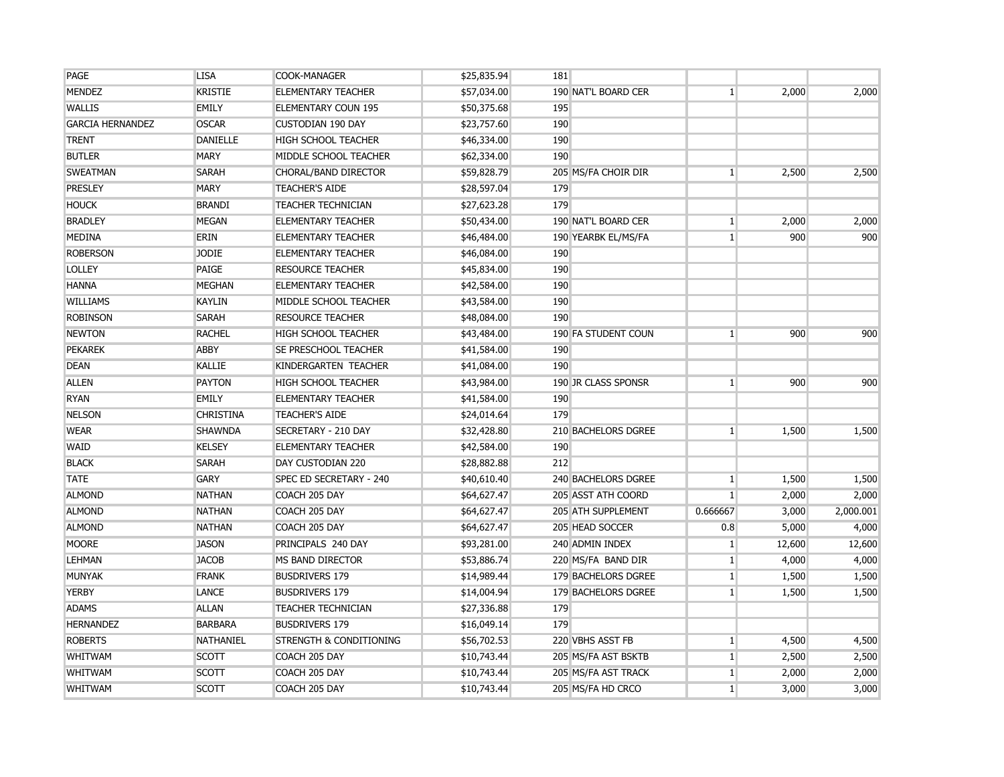| <b>LISA</b>      | COOK-MANAGER                       | \$25,835.94 | 181                 |                 |        |           |
|------------------|------------------------------------|-------------|---------------------|-----------------|--------|-----------|
| <b>KRISTIE</b>   | <b>ELEMENTARY TEACHER</b>          | \$57,034.00 | 190 NAT'L BOARD CER | $\mathbf{1}$    | 2,000  | 2,000     |
| <b>EMILY</b>     | <b>ELEMENTARY COUN 195</b>         | \$50,375.68 | 195                 |                 |        |           |
| <b>OSCAR</b>     | <b>CUSTODIAN 190 DAY</b>           | \$23,757.60 | 190                 |                 |        |           |
| <b>DANIELLE</b>  | <b>HIGH SCHOOL TEACHER</b>         | \$46,334.00 | 190                 |                 |        |           |
| <b>MARY</b>      | MIDDLE SCHOOL TEACHER              | \$62,334.00 | 190                 |                 |        |           |
| <b>SARAH</b>     | CHORAL/BAND DIRECTOR               | \$59,828.79 | 205 MS/FA CHOIR DIR | 1 <sup>1</sup>  | 2,500  | 2,500     |
| <b>MARY</b>      | <b>TEACHER'S AIDE</b>              | \$28,597.04 | 179                 |                 |        |           |
| <b>BRANDI</b>    | <b>TEACHER TECHNICIAN</b>          | \$27,623.28 | 179                 |                 |        |           |
| <b>MEGAN</b>     | <b>ELEMENTARY TEACHER</b>          | \$50,434.00 | 190 NAT'L BOARD CER | $\mathbf{1}$    | 2,000  | 2,000     |
| ERIN             | <b>ELEMENTARY TEACHER</b>          | \$46,484.00 | 190 YEARBK EL/MS/FA | $1\overline{ }$ | 900    | 900       |
| <b>JODIE</b>     | <b>ELEMENTARY TEACHER</b>          | \$46,084.00 | 190                 |                 |        |           |
| PAIGE            | <b>RESOURCE TEACHER</b>            | \$45,834.00 | 190                 |                 |        |           |
| <b>MEGHAN</b>    | <b>ELEMENTARY TEACHER</b>          | \$42,584.00 | 190                 |                 |        |           |
| <b>KAYLIN</b>    | MIDDLE SCHOOL TEACHER              | \$43,584.00 | 190                 |                 |        |           |
| <b>SARAH</b>     | <b>RESOURCE TEACHER</b>            | \$48,084.00 | 190                 |                 |        |           |
| <b>RACHEL</b>    | <b>HIGH SCHOOL TEACHER</b>         | \$43,484.00 | 190 FA STUDENT COUN | $\mathbf{1}$    | 900    | 900       |
| <b>ABBY</b>      | SE PRESCHOOL TEACHER               | \$41,584.00 | 190                 |                 |        |           |
| KALLIE           | KINDERGARTEN TEACHER               | \$41,084.00 | 190                 |                 |        |           |
| <b>PAYTON</b>    | <b>HIGH SCHOOL TEACHER</b>         | \$43,984.00 | 190 JR CLASS SPONSR | $\mathbf{1}$    | 900    | 900       |
| <b>EMILY</b>     | <b>ELEMENTARY TEACHER</b>          | \$41,584.00 | 190                 |                 |        |           |
| <b>CHRISTINA</b> | <b>TEACHER'S AIDE</b>              | \$24,014.64 | 179                 |                 |        |           |
| <b>SHAWNDA</b>   | SECRETARY - 210 DAY                | \$32,428.80 | 210 BACHELORS DGREE | 1 <sup>1</sup>  | 1,500  | 1,500     |
| <b>KELSEY</b>    | <b>ELEMENTARY TEACHER</b>          | \$42,584.00 | 190                 |                 |        |           |
| <b>SARAH</b>     | DAY CUSTODIAN 220                  | \$28,882.88 | 212                 |                 |        |           |
| <b>GARY</b>      | SPEC ED SECRETARY - 240            | \$40,610.40 | 240 BACHELORS DGREE | $\vert$ 1       | 1,500  | 1,500     |
| <b>NATHAN</b>    | COACH 205 DAY                      | \$64,627.47 | 205 ASST ATH COORD  | $\mathbf{1}$    | 2,000  | 2,000     |
| <b>NATHAN</b>    | COACH 205 DAY                      | \$64,627.47 | 205 ATH SUPPLEMENT  | 0.666667        | 3,000  | 2,000.001 |
| <b>NATHAN</b>    | COACH 205 DAY                      | \$64,627.47 | 205 HEAD SOCCER     | 0.8             | 5,000  | 4,000     |
| <b>JASON</b>     | PRINCIPALS 240 DAY                 | \$93,281.00 | 240 ADMIN INDEX     | $\mathbf{1}$    | 12,600 | 12,600    |
| <b>JACOB</b>     | MS BAND DIRECTOR                   | \$53,886.74 | 220 MS/FA BAND DIR  | $\mathbf{1}$    | 4,000  | 4,000     |
| <b>FRANK</b>     | <b>BUSDRIVERS 179</b>              | \$14,989.44 | 179 BACHELORS DGREE | $\vert$ 1       | 1,500  | 1,500     |
| LANCE            | <b>BUSDRIVERS 179</b>              | \$14,004.94 | 179 BACHELORS DGREE | $\mathbf{1}$    | 1,500  | 1,500     |
| <b>ALLAN</b>     | <b>TEACHER TECHNICIAN</b>          | \$27,336.88 | 179                 |                 |        |           |
| <b>BARBARA</b>   | <b>BUSDRIVERS 179</b>              | \$16,049.14 | 179                 |                 |        |           |
| <b>NATHANIEL</b> | <b>STRENGTH &amp; CONDITIONING</b> | \$56,702.53 | 220 VBHS ASST FB    | $\mathbf{1}$    | 4,500  | 4,500     |
| <b>SCOTT</b>     | COACH 205 DAY                      | \$10,743.44 | 205 MS/FA AST BSKTB | $\mathbf{1}$    | 2,500  | 2,500     |
| <b>SCOTT</b>     | COACH 205 DAY                      | \$10,743.44 | 205 MS/FA AST TRACK | $\mathbf{1}$    | 2,000  | 2,000     |
| <b>SCOTT</b>     | COACH 205 DAY                      | \$10,743.44 | 205 MS/FA HD CRCO   | $\mathbf{1}$    | 3,000  | 3,000     |
|                  |                                    |             |                     |                 |        |           |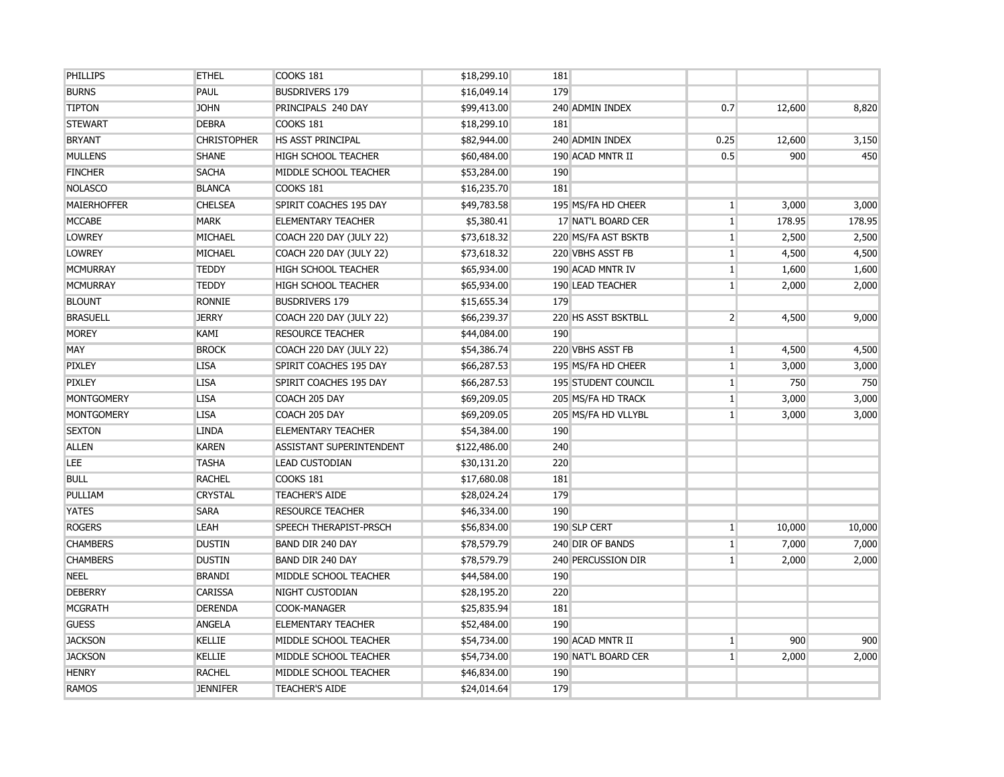| <b>PHILLIPS</b>    | <b>ETHEL</b>       | COOKS 181                  | \$18,299.10  | 181                     |                |        |        |
|--------------------|--------------------|----------------------------|--------------|-------------------------|----------------|--------|--------|
| <b>BURNS</b>       | PAUL               | <b>BUSDRIVERS 179</b>      | \$16,049.14  | 179                     |                |        |        |
| <b>TIPTON</b>      | <b>JOHN</b>        | PRINCIPALS 240 DAY         | \$99,413.00  | 240 ADMIN INDEX         | 0.7            | 12,600 | 8,820  |
| <b>STEWART</b>     | <b>DEBRA</b>       | COOKS 181                  | \$18,299.10  | 181                     |                |        |        |
| <b>BRYANT</b>      | <b>CHRISTOPHER</b> | <b>HS ASST PRINCIPAL</b>   | \$82,944.00  | 240 ADMIN INDEX         | 0.25           | 12,600 | 3,150  |
| <b>MULLENS</b>     | <b>SHANE</b>       | <b>HIGH SCHOOL TEACHER</b> | \$60,484.00  | 190 ACAD MNTR II        | 0.5            | 900    | 450    |
| <b>FINCHER</b>     | <b>SACHA</b>       | MIDDLE SCHOOL TEACHER      | \$53,284.00  | 190                     |                |        |        |
| <b>NOLASCO</b>     | <b>BLANCA</b>      | COOKS 181                  | \$16,235.70  | 181                     |                |        |        |
| <b>MAIERHOFFER</b> | <b>CHELSEA</b>     | SPIRIT COACHES 195 DAY     | \$49,783.58  | 195 MS/FA HD CHEER      | $\mathbf{1}$   | 3,000  | 3,000  |
| <b>MCCABE</b>      | <b>MARK</b>        | <b>ELEMENTARY TEACHER</b>  | \$5,380.41   | 17 NAT'L BOARD CER      | 1              | 178.95 | 178.95 |
| <b>LOWREY</b>      | MICHAEL            | COACH 220 DAY (JULY 22)    | \$73,618.32  | 220 MS/FA AST BSKTB     | $\mathbf{1}$   | 2,500  | 2,500  |
| <b>LOWREY</b>      | MICHAEL            | COACH 220 DAY (JULY 22)    | \$73,618.32  | 220 VBHS ASST FB        | $\mathbf{1}$   | 4,500  | 4,500  |
| <b>MCMURRAY</b>    | <b>TEDDY</b>       | <b>HIGH SCHOOL TEACHER</b> | \$65,934.00  | 190 ACAD MNTR IV        | $\mathbf{1}$   | 1,600  | 1,600  |
| <b>MCMURRAY</b>    | <b>TEDDY</b>       | <b>HIGH SCHOOL TEACHER</b> | \$65,934.00  | <b>190 LEAD TEACHER</b> | 1 <sup>1</sup> | 2,000  | 2,000  |
| <b>BLOUNT</b>      | <b>RONNIE</b>      | <b>BUSDRIVERS 179</b>      | \$15,655.34  | 179                     |                |        |        |
| <b>BRASUELL</b>    | <b>JERRY</b>       | COACH 220 DAY (JULY 22)    | \$66,239.37  | 220 HS ASST BSKTBLL     | 2 <sup>1</sup> | 4,500  | 9,000  |
| <b>MOREY</b>       | KAMI               | <b>RESOURCE TEACHER</b>    | \$44,084.00  | 190                     |                |        |        |
| MAY                | <b>BROCK</b>       | COACH 220 DAY (JULY 22)    | \$54,386.74  | 220 VBHS ASST FB        | $\mathbf{1}$   | 4,500  | 4,500  |
| PIXLEY             | <b>LISA</b>        | SPIRIT COACHES 195 DAY     | \$66,287.53  | 195 MS/FA HD CHEER      | $\mathbf{1}$   | 3,000  | 3,000  |
| <b>PIXLEY</b>      | <b>LISA</b>        | SPIRIT COACHES 195 DAY     | \$66,287.53  | 195 STUDENT COUNCIL     | $\mathbf{1}$   | 750    | 750    |
| <b>MONTGOMERY</b>  | <b>LISA</b>        | COACH 205 DAY              | \$69,209.05  | 205 MS/FA HD TRACK      | 1              | 3,000  | 3,000  |
| <b>MONTGOMERY</b>  | <b>LISA</b>        | COACH 205 DAY              | \$69,209.05  | 205 MS/FA HD VLLYBL     | $\mathbf{1}$   | 3,000  | 3,000  |
| <b>SEXTON</b>      | <b>LINDA</b>       | <b>ELEMENTARY TEACHER</b>  | \$54,384.00  | 190                     |                |        |        |
| <b>ALLEN</b>       | <b>KAREN</b>       | ASSISTANT SUPERINTENDENT   | \$122,486.00 | 240                     |                |        |        |
| <b>LEE</b>         | <b>TASHA</b>       | <b>LEAD CUSTODIAN</b>      | \$30,131.20  | 220                     |                |        |        |
| <b>BULL</b>        | <b>RACHEL</b>      | COOKS 181                  | \$17,680.08  | 181                     |                |        |        |
| PULLIAM            | <b>CRYSTAL</b>     | <b>TEACHER'S AIDE</b>      | \$28,024.24  | 179                     |                |        |        |
| <b>YATES</b>       | <b>SARA</b>        | <b>RESOURCE TEACHER</b>    | \$46,334.00  | 190                     |                |        |        |
| <b>ROGERS</b>      | LEAH               | SPEECH THERAPIST-PRSCH     | \$56,834.00  | 190 SLP CERT            | 1              | 10,000 | 10,000 |
| <b>CHAMBERS</b>    | <b>DUSTIN</b>      | <b>BAND DIR 240 DAY</b>    | \$78,579.79  | 240 DIR OF BANDS        | $\mathbf{1}$   | 7,000  | 7,000  |
| <b>CHAMBERS</b>    | <b>DUSTIN</b>      | <b>BAND DIR 240 DAY</b>    | \$78,579.79  | 240 PERCUSSION DIR      | $\mathbf{1}$   | 2,000  | 2,000  |
| <b>NEEL</b>        | <b>BRANDI</b>      | MIDDLE SCHOOL TEACHER      | \$44,584.00  | 190                     |                |        |        |
| <b>DEBERRY</b>     | <b>CARISSA</b>     | NIGHT CUSTODIAN            | \$28,195.20  | 220                     |                |        |        |
| <b>MCGRATH</b>     | <b>DERENDA</b>     | COOK-MANAGER               | \$25,835.94  | 181                     |                |        |        |
| <b>GUESS</b>       | <b>ANGELA</b>      | <b>ELEMENTARY TEACHER</b>  | \$52,484.00  | 190                     |                |        |        |
| <b>JACKSON</b>     | <b>KELLIE</b>      | MIDDLE SCHOOL TEACHER      | \$54,734.00  | 190 ACAD MNTR II        | $\mathbf{1}$   | 900    | 900    |
| <b>JACKSON</b>     | <b>KELLIE</b>      | MIDDLE SCHOOL TEACHER      | \$54,734.00  | 190 NAT'L BOARD CER     | $\mathbf{1}$   | 2,000  | 2,000  |
| <b>HENRY</b>       | <b>RACHEL</b>      | MIDDLE SCHOOL TEACHER      | \$46,834.00  | 190                     |                |        |        |
| RAMOS              | <b>JENNIFER</b>    | <b>TEACHER'S AIDE</b>      | \$24,014.64  | 179                     |                |        |        |
|                    |                    |                            |              |                         |                |        |        |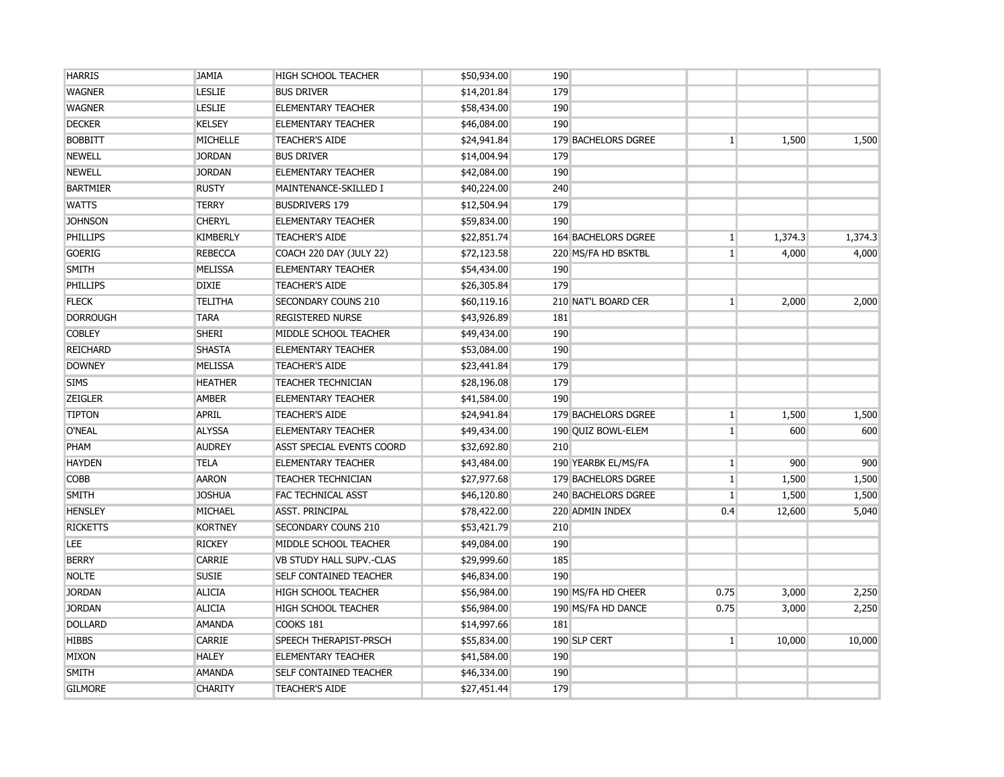| <b>HARRIS</b>   | <b>JAMIA</b>    | <b>HIGH SCHOOL TEACHER</b>    | \$50,934.00 | 190 |                            |                 |         |         |
|-----------------|-----------------|-------------------------------|-------------|-----|----------------------------|-----------------|---------|---------|
| <b>WAGNER</b>   | <b>LESLIE</b>   | <b>BUS DRIVER</b>             | \$14,201.84 | 179 |                            |                 |         |         |
| <b>WAGNER</b>   | <b>LESLIE</b>   | <b>ELEMENTARY TEACHER</b>     | \$58,434.00 | 190 |                            |                 |         |         |
| <b>DECKER</b>   | <b>KELSEY</b>   | <b>ELEMENTARY TEACHER</b>     | \$46,084.00 | 190 |                            |                 |         |         |
| <b>BOBBITT</b>  | MICHELLE        | <b>TEACHER'S AIDE</b>         | \$24,941.84 |     | 179 BACHELORS DGREE        | 1 <sup>1</sup>  | 1,500   | 1,500   |
| <b>NEWELL</b>   | <b>JORDAN</b>   | <b>BUS DRIVER</b>             | \$14,004.94 | 179 |                            |                 |         |         |
| <b>NEWELL</b>   | <b>JORDAN</b>   | <b>ELEMENTARY TEACHER</b>     | \$42,084.00 | 190 |                            |                 |         |         |
| <b>BARTMIER</b> | <b>RUSTY</b>    | MAINTENANCE-SKILLED I         | \$40,224.00 | 240 |                            |                 |         |         |
| <b>WATTS</b>    | <b>TERRY</b>    | <b>BUSDRIVERS 179</b>         | \$12,504.94 | 179 |                            |                 |         |         |
| <b>JOHNSON</b>  | <b>CHERYL</b>   | <b>ELEMENTARY TEACHER</b>     | \$59,834.00 | 190 |                            |                 |         |         |
| PHILLIPS        | <b>KIMBERLY</b> | <b>TEACHER'S AIDE</b>         | \$22,851.74 |     | <b>164 BACHELORS DGREE</b> | $\mathbf{1}$    | 1,374.3 | 1,374.3 |
| <b>GOERIG</b>   | <b>REBECCA</b>  | COACH 220 DAY (JULY 22)       | \$72,123.58 |     | 220 MS/FA HD BSKTBL        | 1 <sup>1</sup>  | 4,000   | 4,000   |
| <b>SMITH</b>    | <b>MELISSA</b>  | <b>ELEMENTARY TEACHER</b>     | \$54,434.00 | 190 |                            |                 |         |         |
| <b>PHILLIPS</b> | <b>DIXIE</b>    | <b>TEACHER'S AIDE</b>         | \$26,305.84 | 179 |                            |                 |         |         |
| <b>FLECK</b>    | <b>TELITHA</b>  | SECONDARY COUNS 210           | \$60,119.16 |     | 210 NAT'L BOARD CER        | $1\vert$        | 2,000   | 2,000   |
| <b>DORROUGH</b> | <b>TARA</b>     | <b>REGISTERED NURSE</b>       | \$43,926.89 | 181 |                            |                 |         |         |
| <b>COBLEY</b>   | <b>SHERI</b>    | MIDDLE SCHOOL TEACHER         | \$49,434.00 | 190 |                            |                 |         |         |
| <b>REICHARD</b> | <b>SHASTA</b>   | <b>ELEMENTARY TEACHER</b>     | \$53,084.00 | 190 |                            |                 |         |         |
| <b>DOWNEY</b>   | <b>MELISSA</b>  | <b>TEACHER'S AIDE</b>         | \$23,441.84 | 179 |                            |                 |         |         |
| <b>SIMS</b>     | <b>HEATHER</b>  | <b>TEACHER TECHNICIAN</b>     | \$28,196.08 | 179 |                            |                 |         |         |
| <b>ZEIGLER</b>  | <b>AMBER</b>    | <b>ELEMENTARY TEACHER</b>     | \$41,584.00 | 190 |                            |                 |         |         |
| <b>TIPTON</b>   | <b>APRIL</b>    | <b>TEACHER'S AIDE</b>         | \$24,941.84 |     | 179 BACHELORS DGREE        | $\mathbf{1}$    | 1,500   | 1,500   |
| O'NEAL          | <b>ALYSSA</b>   | <b>ELEMENTARY TEACHER</b>     | \$49,434.00 |     | 190 QUIZ BOWL-ELEM         | $\mathbf{1}$    | 600     | 600     |
| PHAM            | <b>AUDREY</b>   | ASST SPECIAL EVENTS COORD     | \$32,692.80 | 210 |                            |                 |         |         |
| <b>HAYDEN</b>   | <b>TELA</b>     | <b>ELEMENTARY TEACHER</b>     | \$43,484.00 |     | 190 YEARBK EL/MS/FA        | 1 <sup>1</sup>  | 900     | 900     |
| <b>COBB</b>     | <b>AARON</b>    | <b>TEACHER TECHNICIAN</b>     | \$27,977.68 |     | 179 BACHELORS DGREE        | $\mathbf{1}$    | 1,500   | 1,500   |
| <b>SMITH</b>    | <b>JOSHUA</b>   | <b>FAC TECHNICAL ASST</b>     | \$46,120.80 |     | 240 BACHELORS DGREE        | $1\overline{ }$ | 1,500   | 1,500   |
| <b>HENSLEY</b>  | MICHAEL         | <b>ASST. PRINCIPAL</b>        | \$78,422.00 |     | 220 ADMIN INDEX            | 0.4             | 12,600  | 5,040   |
| <b>RICKETTS</b> | <b>KORTNEY</b>  | <b>SECONDARY COUNS 210</b>    | \$53,421.79 | 210 |                            |                 |         |         |
| LEE.            | <b>RICKEY</b>   | MIDDLE SCHOOL TEACHER         | \$49,084.00 | 190 |                            |                 |         |         |
| <b>BERRY</b>    | <b>CARRIE</b>   | VB STUDY HALL SUPV.-CLAS      | \$29,999.60 | 185 |                            |                 |         |         |
| <b>NOLTE</b>    | <b>SUSIE</b>    | SELF CONTAINED TEACHER        | \$46,834.00 | 190 |                            |                 |         |         |
| <b>JORDAN</b>   | <b>ALICIA</b>   | <b>HIGH SCHOOL TEACHER</b>    | \$56,984.00 |     | 190 MS/FA HD CHEER         | 0.75            | 3,000   | 2,250   |
| <b>JORDAN</b>   | <b>ALICIA</b>   | <b>HIGH SCHOOL TEACHER</b>    | \$56,984.00 |     | 190 MS/FA HD DANCE         | 0.75            | 3,000   | 2,250   |
| <b>DOLLARD</b>  | <b>AMANDA</b>   | <b>COOKS 181</b>              | \$14,997.66 | 181 |                            |                 |         |         |
| <b>HIBBS</b>    | <b>CARRIE</b>   | SPEECH THERAPIST-PRSCH        | \$55,834.00 |     | 190 SLP CERT               | $\mathbf{1}$    | 10,000  | 10,000  |
| <b>MIXON</b>    | <b>HALEY</b>    | <b>ELEMENTARY TEACHER</b>     | \$41,584.00 | 190 |                            |                 |         |         |
| <b>SMITH</b>    | <b>AMANDA</b>   | <b>SELF CONTAINED TEACHER</b> | \$46,334.00 | 190 |                            |                 |         |         |
| <b>GILMORE</b>  | <b>CHARITY</b>  | <b>TEACHER'S AIDE</b>         | \$27,451.44 | 179 |                            |                 |         |         |
|                 |                 |                               |             |     |                            |                 |         |         |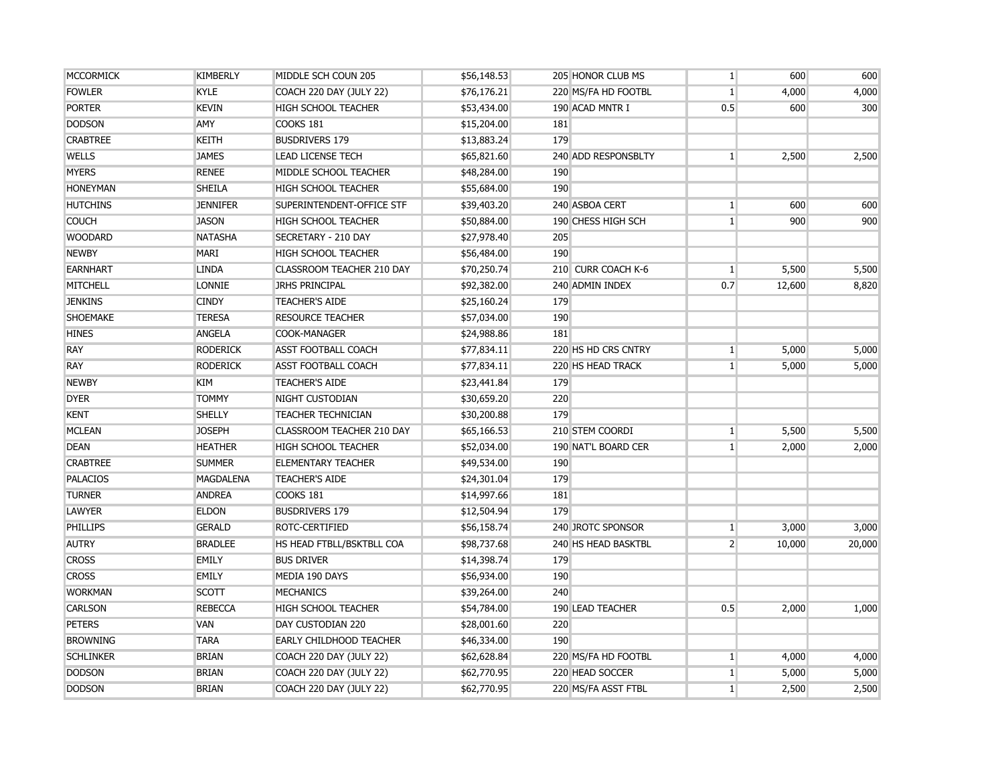| <b>MCCORMICK</b> | <b>KIMBERLY</b>  | MIDDLE SCH COUN 205            | \$56,148.53 | 205 HONOR CLUB MS   | $\mathbf{1}$   | 600    | 600    |
|------------------|------------------|--------------------------------|-------------|---------------------|----------------|--------|--------|
| <b>FOWLER</b>    | <b>KYLE</b>      | COACH 220 DAY (JULY 22)        | \$76,176.21 | 220 MS/FA HD FOOTBL | $\mathbf{1}$   | 4,000  | 4,000  |
| <b>PORTER</b>    | <b>KEVIN</b>     | <b>HIGH SCHOOL TEACHER</b>     | \$53,434.00 | 190 ACAD MNTR I     | 0.5            | 600    | 300    |
| <b>DODSON</b>    | <b>AMY</b>       | COOKS 181                      | \$15,204.00 | 181                 |                |        |        |
| <b>CRABTREE</b>  | <b>KEITH</b>     | <b>BUSDRIVERS 179</b>          | \$13,883.24 | 179                 |                |        |        |
| <b>WELLS</b>     | <b>JAMES</b>     | <b>LEAD LICENSE TECH</b>       | \$65,821.60 | 240 ADD RESPONSBLTY | $\mathbf{1}$   | 2,500  | 2,500  |
| <b>MYERS</b>     | <b>RENEE</b>     | MIDDLE SCHOOL TEACHER          | \$48,284.00 | 190                 |                |        |        |
| <b>HONEYMAN</b>  | <b>SHEILA</b>    | <b>HIGH SCHOOL TEACHER</b>     | \$55,684.00 | 190                 |                |        |        |
| <b>HUTCHINS</b>  | <b>JENNIFER</b>  | SUPERINTENDENT-OFFICE STF      | \$39,403.20 | 240 ASBOA CERT      | $\mathbf{1}$   | 600    | 600    |
| <b>COUCH</b>     | <b>JASON</b>     | <b>HIGH SCHOOL TEACHER</b>     | \$50,884.00 | 190 CHESS HIGH SCH  | $\mathbf{1}$   | 900    | 900    |
| <b>WOODARD</b>   | <b>NATASHA</b>   | SECRETARY - 210 DAY            | \$27,978.40 | 205                 |                |        |        |
| <b>NEWBY</b>     | <b>MARI</b>      | <b>HIGH SCHOOL TEACHER</b>     | \$56,484.00 | 190                 |                |        |        |
| <b>EARNHART</b>  | <b>LINDA</b>     | CLASSROOM TEACHER 210 DAY      | \$70,250.74 | 210 CURR COACH K-6  | $\mathbf{1}$   | 5,500  | 5,500  |
| <b>MITCHELL</b>  | <b>LONNIE</b>    | <b>JRHS PRINCIPAL</b>          | \$92,382.00 | 240 ADMIN INDEX     | 0.7            | 12,600 | 8,820  |
| <b>JENKINS</b>   | <b>CINDY</b>     | <b>TEACHER'S AIDE</b>          | \$25,160.24 | 179                 |                |        |        |
| SHOEMAKE         | <b>TERESA</b>    | <b>RESOURCE TEACHER</b>        | \$57,034.00 | 190                 |                |        |        |
| <b>HINES</b>     | <b>ANGELA</b>    | COOK-MANAGER                   | \$24,988.86 | 181                 |                |        |        |
| <b>RAY</b>       | <b>RODERICK</b>  | <b>ASST FOOTBALL COACH</b>     | \$77,834.11 | 220 HS HD CRS CNTRY | $\mathbf{1}$   | 5,000  | 5,000  |
| <b>RAY</b>       | <b>RODERICK</b>  | <b>ASST FOOTBALL COACH</b>     | \$77,834.11 | 220 HS HEAD TRACK   | $\mathbf{1}$   | 5,000  | 5,000  |
| <b>NEWBY</b>     | KIM              | <b>TEACHER'S AIDE</b>          | \$23,441.84 | 179                 |                |        |        |
| <b>DYER</b>      | <b>TOMMY</b>     | NIGHT CUSTODIAN                | \$30,659.20 | 220                 |                |        |        |
| <b>KENT</b>      | SHELLY           | <b>TEACHER TECHNICIAN</b>      | \$30,200.88 | 179                 |                |        |        |
| <b>MCLEAN</b>    | <b>JOSEPH</b>    | CLASSROOM TEACHER 210 DAY      | \$65,166.53 | 210 STEM COORDI     | $\mathbf{1}$   | 5,500  | 5,500  |
| <b>DEAN</b>      | <b>HEATHER</b>   | <b>HIGH SCHOOL TEACHER</b>     | \$52,034.00 | 190 NAT'L BOARD CER | $\mathbf{1}$   | 2,000  | 2,000  |
| <b>CRABTREE</b>  | <b>SUMMER</b>    | <b>ELEMENTARY TEACHER</b>      | \$49,534.00 | 190                 |                |        |        |
| <b>PALACIOS</b>  | <b>MAGDALENA</b> | <b>TEACHER'S AIDE</b>          | \$24,301.04 | 179                 |                |        |        |
| <b>TURNER</b>    | <b>ANDREA</b>    | COOKS 181                      | \$14,997.66 | 181                 |                |        |        |
| <b>LAWYER</b>    | <b>ELDON</b>     | <b>BUSDRIVERS 179</b>          | \$12,504.94 | 179                 |                |        |        |
| <b>PHILLIPS</b>  | <b>GERALD</b>    | ROTC-CERTIFIED                 | \$56,158.74 | 240 JROTC SPONSOR   | $1\vert$       | 3,000  | 3,000  |
| <b>AUTRY</b>     | <b>BRADLEE</b>   | HS HEAD FTBLL/BSKTBLL COA      | \$98,737.68 | 240 HS HEAD BASKTBL | $2^{\circ}$    | 10,000 | 20,000 |
| <b>CROSS</b>     | <b>EMILY</b>     | <b>BUS DRIVER</b>              | \$14,398.74 | 179                 |                |        |        |
| <b>CROSS</b>     | EMILY            | MEDIA 190 DAYS                 | \$56,934.00 | 190                 |                |        |        |
| <b>WORKMAN</b>   | <b>SCOTT</b>     | <b>MECHANICS</b>               | \$39,264.00 | 240                 |                |        |        |
| <b>CARLSON</b>   | <b>REBECCA</b>   | HIGH SCHOOL TEACHER            | \$54,784.00 | 190 LEAD TEACHER    | 0.5            | 2,000  | 1,000  |
| <b>PETERS</b>    | <b>VAN</b>       | DAY CUSTODIAN 220              | \$28,001.60 | 220                 |                |        |        |
| <b>BROWNING</b>  | <b>TARA</b>      | <b>EARLY CHILDHOOD TEACHER</b> | \$46,334.00 | 190                 |                |        |        |
| <b>SCHLINKER</b> | <b>BRIAN</b>     | COACH 220 DAY (JULY 22)        | \$62,628.84 | 220 MS/FA HD FOOTBL | $\mathbf{1}$   | 4,000  | 4,000  |
| <b>DODSON</b>    | <b>BRIAN</b>     | COACH 220 DAY (JULY 22)        | \$62,770.95 | 220 HEAD SOCCER     | $\mathbf{1}$   | 5,000  | 5,000  |
| <b>DODSON</b>    | <b>BRIAN</b>     | COACH 220 DAY (JULY 22)        | \$62,770.95 | 220 MS/FA ASST FTBL | 1 <sup>1</sup> | 2,500  | 2,500  |
|                  |                  |                                |             |                     |                |        |        |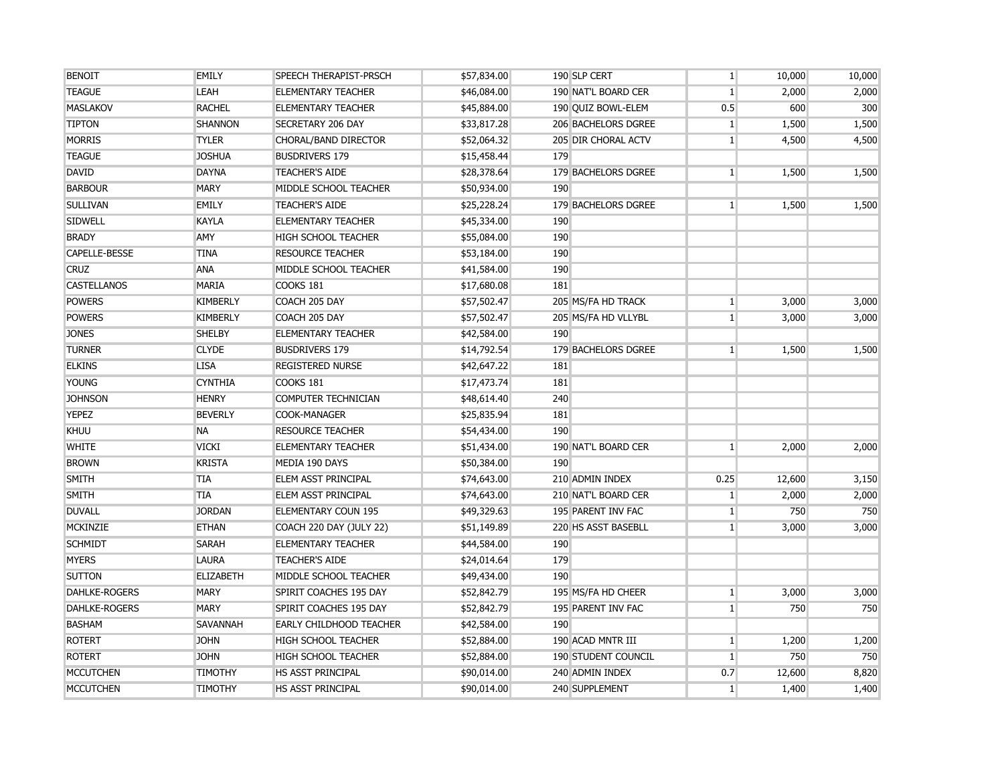| <b>BENOIT</b>        | EMILY            | SPEECH THERAPIST-PRSCH         | \$57,834.00 | 190 SLP CERT               | $\mathbf{1}$   | 10,000 | 10,000 |
|----------------------|------------------|--------------------------------|-------------|----------------------------|----------------|--------|--------|
| <b>TEAGUE</b>        | LEAH             | <b>ELEMENTARY TEACHER</b>      | \$46,084.00 | 190 NAT'L BOARD CER        | 1              | 2,000  | 2,000  |
| <b>MASLAKOV</b>      | <b>RACHEL</b>    | <b>ELEMENTARY TEACHER</b>      | \$45,884.00 | 190 QUIZ BOWL-ELEM         | 0.5            | 600    | 300    |
| <b>TIPTON</b>        | <b>SHANNON</b>   | <b>SECRETARY 206 DAY</b>       | \$33,817.28 | <b>206 BACHELORS DGREE</b> | $\mathbf{1}$   | 1,500  | 1,500  |
| <b>MORRIS</b>        | <b>TYLER</b>     | CHORAL/BAND DIRECTOR           | \$52,064.32 | 205 DIR CHORAL ACTV        | 1 <sup>1</sup> | 4,500  | 4,500  |
| <b>TEAGUE</b>        | <b>JOSHUA</b>    | <b>BUSDRIVERS 179</b>          | \$15,458.44 | 179                        |                |        |        |
| <b>DAVID</b>         | <b>DAYNA</b>     | <b>TEACHER'S AIDE</b>          | \$28,378.64 | 179 BACHELORS DGREE        | $\mathbf{1}$   | 1,500  | 1,500  |
| <b>BARBOUR</b>       | <b>MARY</b>      | MIDDLE SCHOOL TEACHER          | \$50,934.00 | 190                        |                |        |        |
| <b>SULLIVAN</b>      | <b>EMILY</b>     | <b>TEACHER'S AIDE</b>          | \$25,228.24 | 179 BACHELORS DGREE        | 1              | 1,500  | 1,500  |
| <b>SIDWELL</b>       | <b>KAYLA</b>     | <b>ELEMENTARY TEACHER</b>      | \$45,334.00 | 190                        |                |        |        |
| <b>BRADY</b>         | <b>AMY</b>       | <b>HIGH SCHOOL TEACHER</b>     | \$55,084.00 | 190                        |                |        |        |
| CAPELLE-BESSE        | <b>TINA</b>      | <b>RESOURCE TEACHER</b>        | \$53,184.00 | 190                        |                |        |        |
| <b>CRUZ</b>          | <b>ANA</b>       | MIDDLE SCHOOL TEACHER          | \$41,584.00 | 190                        |                |        |        |
| <b>CASTELLANOS</b>   | <b>MARIA</b>     | COOKS 181                      | \$17,680.08 | 181                        |                |        |        |
| <b>POWERS</b>        | <b>KIMBERLY</b>  | COACH 205 DAY                  | \$57,502.47 | 205 MS/FA HD TRACK         | 1              | 3,000  | 3,000  |
| <b>POWERS</b>        | <b>KIMBERLY</b>  | COACH 205 DAY                  | \$57,502.47 | 205 MS/FA HD VLLYBL        | $\mathbf{1}$   | 3,000  | 3,000  |
| <b>JONES</b>         | <b>SHELBY</b>    | <b>ELEMENTARY TEACHER</b>      | \$42,584.00 | 190                        |                |        |        |
| <b>TURNER</b>        | <b>CLYDE</b>     | <b>BUSDRIVERS 179</b>          | \$14,792.54 | 179 BACHELORS DGREE        | 1              | 1,500  | 1,500  |
| <b>ELKINS</b>        | <b>LISA</b>      | <b>REGISTERED NURSE</b>        | \$42,647.22 | 181                        |                |        |        |
| <b>YOUNG</b>         | <b>CYNTHIA</b>   | COOKS 181                      | \$17,473.74 | 181                        |                |        |        |
| <b>JOHNSON</b>       | <b>HENRY</b>     | COMPUTER TECHNICIAN            | \$48,614.40 | 240                        |                |        |        |
| <b>YEPEZ</b>         | <b>BEVERLY</b>   | <b>COOK-MANAGER</b>            | \$25,835.94 | 181                        |                |        |        |
| <b>KHUU</b>          | <b>NA</b>        | <b>RESOURCE TEACHER</b>        | \$54,434.00 | 190                        |                |        |        |
| <b>WHITE</b>         | <b>VICKI</b>     | <b>ELEMENTARY TEACHER</b>      | \$51,434.00 | 190 NAT'L BOARD CER        | 1              | 2,000  | 2,000  |
| <b>BROWN</b>         | <b>KRISTA</b>    | MEDIA 190 DAYS                 | \$50,384.00 | 190                        |                |        |        |
| <b>SMITH</b>         | <b>TIA</b>       | ELEM ASST PRINCIPAL            | \$74,643.00 | 210 ADMIN INDEX            | 0.25           | 12,600 | 3,150  |
| <b>SMITH</b>         | <b>TIA</b>       | ELEM ASST PRINCIPAL            | \$74,643.00 | 210 NAT'L BOARD CER        | $\mathbf{1}$   | 2,000  | 2,000  |
| <b>DUVALL</b>        | <b>JORDAN</b>    | <b>ELEMENTARY COUN 195</b>     | \$49,329.63 | 195 PARENT INV FAC         | 1 <sup>1</sup> | 750    | 750    |
| <b>MCKINZIE</b>      | <b>ETHAN</b>     | COACH 220 DAY (JULY 22)        | \$51,149.89 | 220 HS ASST BASEBLL        | 1              | 3,000  | 3,000  |
| <b>SCHMIDT</b>       | <b>SARAH</b>     | <b>ELEMENTARY TEACHER</b>      | \$44,584.00 | 190                        |                |        |        |
| <b>MYERS</b>         | <b>LAURA</b>     | <b>TEACHER'S AIDE</b>          | \$24,014.64 | 179                        |                |        |        |
| <b>SUTTON</b>        | <b>ELIZABETH</b> | MIDDLE SCHOOL TEACHER          | \$49,434.00 | 190                        |                |        |        |
| <b>DAHLKE-ROGERS</b> | <b>MARY</b>      | SPIRIT COACHES 195 DAY         | \$52,842.79 | 195 MS/FA HD CHEER         | $\mathbf{1}$   | 3,000  | 3,000  |
| <b>DAHLKE-ROGERS</b> | <b>MARY</b>      | SPIRIT COACHES 195 DAY         | \$52,842.79 | 195 PARENT INV FAC         | $\mathbf{1}$   | 750    | 750    |
| <b>BASHAM</b>        | <b>SAVANNAH</b>  | <b>EARLY CHILDHOOD TEACHER</b> | \$42,584.00 | 190                        |                |        |        |
| <b>ROTERT</b>        | <b>JOHN</b>      | <b>HIGH SCHOOL TEACHER</b>     | \$52,884.00 | 190 ACAD MNTR III          | $\mathbf{1}$   | 1,200  | 1,200  |
| <b>ROTERT</b>        | <b>JOHN</b>      | <b>HIGH SCHOOL TEACHER</b>     | \$52,884.00 | 190 STUDENT COUNCIL        | 1              | 750    | 750    |
| <b>MCCUTCHEN</b>     | <b>TIMOTHY</b>   | <b>HS ASST PRINCIPAL</b>       | \$90,014.00 | 240 ADMIN INDEX            | 0.7            | 12,600 | 8,820  |
| <b>MCCUTCHEN</b>     | <b>TIMOTHY</b>   | <b>HS ASST PRINCIPAL</b>       | \$90,014.00 | 240 SUPPLEMENT             | $\mathbf{1}$   | 1,400  | 1,400  |
|                      |                  |                                |             |                            |                |        |        |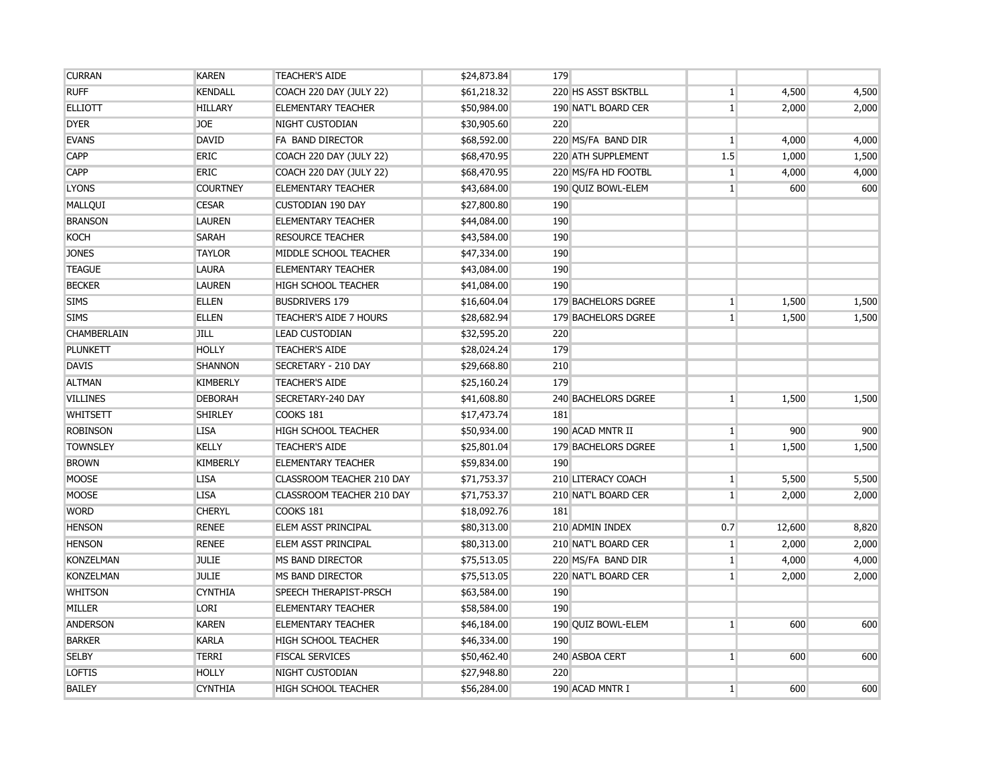| <b>CURRAN</b>      | <b>KAREN</b>    | <b>TEACHER'S AIDE</b>            | \$24,873.84 | 179                 |                |        |       |
|--------------------|-----------------|----------------------------------|-------------|---------------------|----------------|--------|-------|
| <b>RUFF</b>        | <b>KENDALL</b>  | COACH 220 DAY (JULY 22)          | \$61,218.32 | 220 HS ASST BSKTBLL | $1\vert$       | 4,500  | 4,500 |
| <b>ELLIOTT</b>     | <b>HILLARY</b>  | <b>ELEMENTARY TEACHER</b>        | \$50,984.00 | 190 NAT'L BOARD CER | $1\vert$       | 2,000  | 2,000 |
| <b>DYER</b>        | <b>JOE</b>      | <b>NIGHT CUSTODIAN</b>           | \$30,905.60 | 220                 |                |        |       |
| <b>EVANS</b>       | <b>DAVID</b>    | FA BAND DIRECTOR                 | \$68,592.00 | 220 MS/FA BAND DIR  | $\mathbf{1}$   | 4,000  | 4,000 |
| <b>CAPP</b>        | <b>ERIC</b>     | COACH 220 DAY (JULY 22)          | \$68,470.95 | 220 ATH SUPPLEMENT  | 1.5            | 1,000  | 1,500 |
| <b>CAPP</b>        | <b>ERIC</b>     | COACH 220 DAY (JULY 22)          | \$68,470.95 | 220 MS/FA HD FOOTBL | $\vert$ 1      | 4,000  | 4,000 |
| <b>LYONS</b>       | <b>COURTNEY</b> | <b>ELEMENTARY TEACHER</b>        | \$43,684.00 | 190 QUIZ BOWL-ELEM  | $\mathbf{1}$   | 600    | 600   |
| MALLQUI            | <b>CESAR</b>    | <b>CUSTODIAN 190 DAY</b>         | \$27,800.80 | 190                 |                |        |       |
| <b>BRANSON</b>     | <b>LAUREN</b>   | <b>ELEMENTARY TEACHER</b>        | \$44,084.00 | 190                 |                |        |       |
| <b>KOCH</b>        | <b>SARAH</b>    | <b>RESOURCE TEACHER</b>          | \$43,584.00 | 190                 |                |        |       |
| <b>JONES</b>       | <b>TAYLOR</b>   | MIDDLE SCHOOL TEACHER            | \$47,334.00 | 190                 |                |        |       |
| <b>TEAGUE</b>      | <b>LAURA</b>    | <b>ELEMENTARY TEACHER</b>        | \$43,084.00 | 190                 |                |        |       |
| <b>BECKER</b>      | <b>LAUREN</b>   | <b>HIGH SCHOOL TEACHER</b>       | \$41,084.00 | 190                 |                |        |       |
| <b>SIMS</b>        | <b>ELLEN</b>    | <b>BUSDRIVERS 179</b>            | \$16,604.04 | 179 BACHELORS DGREE | 1 <sup>1</sup> | 1,500  | 1,500 |
| <b>SIMS</b>        | <b>ELLEN</b>    | TEACHER'S AIDE 7 HOURS           | \$28,682.94 | 179 BACHELORS DGREE | $1\vert$       | 1,500  | 1,500 |
| <b>CHAMBERLAIN</b> | <b>JILL</b>     | <b>LEAD CUSTODIAN</b>            | \$32,595.20 | 220                 |                |        |       |
| <b>PLUNKETT</b>    | <b>HOLLY</b>    | <b>TEACHER'S AIDE</b>            | \$28,024.24 | 179                 |                |        |       |
| <b>DAVIS</b>       | <b>SHANNON</b>  | SECRETARY - 210 DAY              | \$29,668.80 | 210                 |                |        |       |
| <b>ALTMAN</b>      | <b>KIMBERLY</b> | <b>TEACHER'S AIDE</b>            | \$25,160.24 | 179                 |                |        |       |
| <b>VILLINES</b>    | <b>DEBORAH</b>  | SECRETARY-240 DAY                | \$41,608.80 | 240 BACHELORS DGREE | $\mathbf{1}$   | 1,500  | 1,500 |
| <b>WHITSETT</b>    | <b>SHIRLEY</b>  | COOKS 181                        | \$17,473.74 | 181                 |                |        |       |
| <b>ROBINSON</b>    | <b>LISA</b>     | <b>HIGH SCHOOL TEACHER</b>       | \$50,934.00 | 190 ACAD MNTR II    | $\mathbf{1}$   | 900    | 900   |
| <b>TOWNSLEY</b>    | <b>KELLY</b>    | <b>TEACHER'S AIDE</b>            | \$25,801.04 | 179 BACHELORS DGREE | $\mathbf{1}$   | 1,500  | 1,500 |
| <b>BROWN</b>       | <b>KIMBERLY</b> | <b>ELEMENTARY TEACHER</b>        | \$59,834.00 | 190                 |                |        |       |
| <b>MOOSE</b>       | <b>LISA</b>     | <b>CLASSROOM TEACHER 210 DAY</b> | \$71,753.37 | 210 LITERACY COACH  | $\mathbf{1}$   | 5,500  | 5,500 |
| <b>MOOSE</b>       | <b>LISA</b>     | CLASSROOM TEACHER 210 DAY        | \$71,753.37 | 210 NAT'L BOARD CER | $\mathbf{1}$   | 2,000  | 2,000 |
| <b>WORD</b>        | <b>CHERYL</b>   | COOKS 181                        | \$18,092.76 | 181                 |                |        |       |
| <b>HENSON</b>      | <b>RENEE</b>    | ELEM ASST PRINCIPAL              | \$80,313.00 | 210 ADMIN INDEX     | 0.7            | 12,600 | 8,820 |
| <b>HENSON</b>      | <b>RENEE</b>    | <b>ELEM ASST PRINCIPAL</b>       | \$80,313.00 | 210 NAT'L BOARD CER | $\mathbf{1}$   | 2,000  | 2,000 |
| <b>KONZELMAN</b>   | <b>JULIE</b>    | MS BAND DIRECTOR                 | \$75,513.05 | 220 MS/FA BAND DIR  | $\mathbf{1}$   | 4,000  | 4,000 |
| <b>KONZELMAN</b>   | <b>JULIE</b>    | MS BAND DIRECTOR                 | \$75,513.05 | 220 NAT'L BOARD CER | $\mathbf{1}$   | 2,000  | 2,000 |
| <b>WHITSON</b>     | <b>CYNTHIA</b>  | SPEECH THERAPIST-PRSCH           | \$63,584.00 | 190                 |                |        |       |
| MILLER             | <b>LORI</b>     | <b>ELEMENTARY TEACHER</b>        | \$58,584.00 | 190                 |                |        |       |
| <b>ANDERSON</b>    | <b>KAREN</b>    | <b>ELEMENTARY TEACHER</b>        | \$46,184.00 | 190 QUIZ BOWL-ELEM  | $\mathbf{1}$   | 600    | 600   |
| <b>BARKER</b>      | <b>KARLA</b>    | <b>HIGH SCHOOL TEACHER</b>       | \$46,334.00 | 190                 |                |        |       |
| <b>SELBY</b>       | <b>TERRI</b>    | <b>FISCAL SERVICES</b>           | \$50,462.40 | 240 ASBOA CERT      | $\mathbf{1}$   | 600    | 600   |
| <b>LOFTIS</b>      | <b>HOLLY</b>    | NIGHT CUSTODIAN                  | \$27,948.80 | 220                 |                |        |       |
| <b>BAILEY</b>      | <b>CYNTHIA</b>  | <b>HIGH SCHOOL TEACHER</b>       | \$56,284.00 | 190 ACAD MNTR I     | $\mathbf{1}$   | 600    | 600   |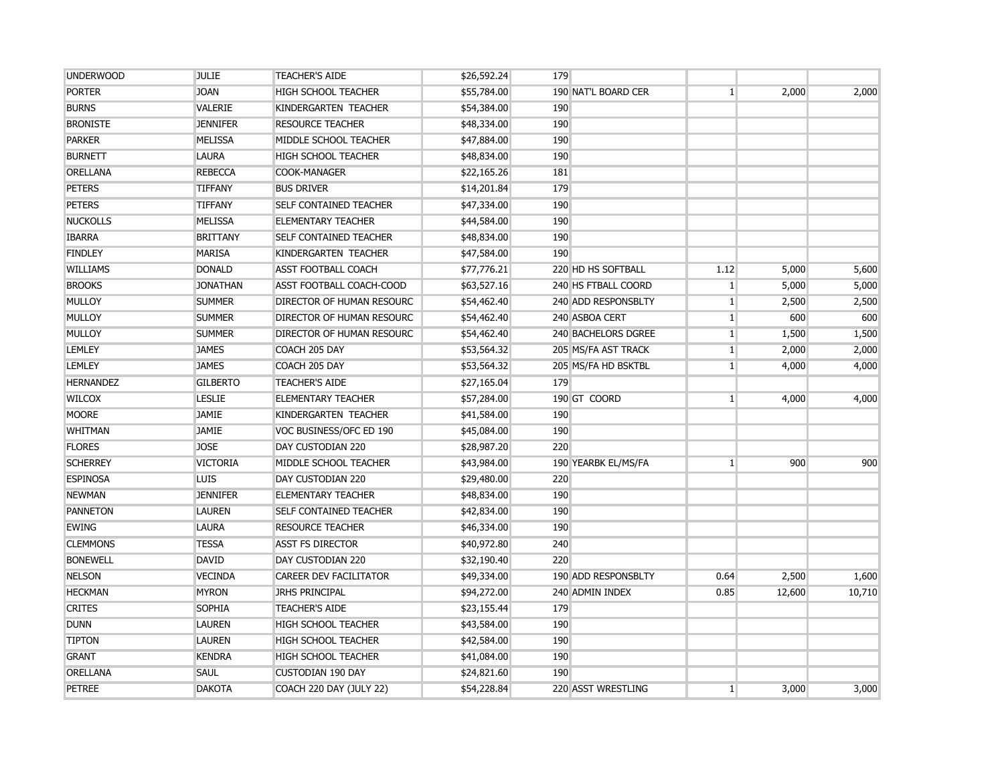| <b>UNDERWOOD</b> | <b>JULIE</b>    | <b>TEACHER'S AIDE</b>            | \$26,592.24 | 179                 |              |        |        |
|------------------|-----------------|----------------------------------|-------------|---------------------|--------------|--------|--------|
| <b>PORTER</b>    | <b>JOAN</b>     | <b>HIGH SCHOOL TEACHER</b>       | \$55,784.00 | 190 NAT'L BOARD CER | $\mathbf{1}$ | 2,000  | 2,000  |
| <b>BURNS</b>     | VALERIE         | KINDERGARTEN TEACHER             | \$54,384.00 | 190                 |              |        |        |
| <b>BRONISTE</b>  | <b>JENNIFER</b> | <b>RESOURCE TEACHER</b>          | \$48,334.00 | 190                 |              |        |        |
| <b>PARKER</b>    | <b>MELISSA</b>  | MIDDLE SCHOOL TEACHER            | \$47,884.00 | 190                 |              |        |        |
| <b>BURNETT</b>   | <b>LAURA</b>    | <b>HIGH SCHOOL TEACHER</b>       | \$48,834.00 | 190                 |              |        |        |
| <b>ORELLANA</b>  | <b>REBECCA</b>  | COOK-MANAGER                     | \$22,165.26 | 181                 |              |        |        |
| <b>PETERS</b>    | <b>TIFFANY</b>  | <b>BUS DRIVER</b>                | \$14,201.84 | 179                 |              |        |        |
| <b>PETERS</b>    | <b>TIFFANY</b>  | <b>SELF CONTAINED TEACHER</b>    | \$47,334.00 | 190                 |              |        |        |
| <b>NUCKOLLS</b>  | <b>MELISSA</b>  | <b>ELEMENTARY TEACHER</b>        | \$44,584.00 | 190                 |              |        |        |
| <b>IBARRA</b>    | <b>BRITTANY</b> | <b>SELF CONTAINED TEACHER</b>    | \$48,834.00 | 190                 |              |        |        |
| <b>FINDLEY</b>   | <b>MARISA</b>   | KINDERGARTEN TEACHER             | \$47,584.00 | 190                 |              |        |        |
| <b>WILLIAMS</b>  | <b>DONALD</b>   | <b>ASST FOOTBALL COACH</b>       | \$77,776.21 | 220 HD HS SOFTBALL  | 1.12         | 5,000  | 5,600  |
| <b>BROOKS</b>    | <b>JONATHAN</b> | ASST FOOTBALL COACH-COOD         | \$63,527.16 | 240 HS FTBALL COORD | $1\vert$     | 5,000  | 5,000  |
| <b>MULLOY</b>    | <b>SUMMER</b>   | <b>DIRECTOR OF HUMAN RESOURC</b> | \$54,462.40 | 240 ADD RESPONSBLTY | $\mathbf{1}$ | 2,500  | 2,500  |
| MULLOY           | <b>SUMMER</b>   | DIRECTOR OF HUMAN RESOURC        | \$54,462.40 | 240 ASBOA CERT      | $1\vert$     | 600    | 600    |
| <b>MULLOY</b>    | <b>SUMMER</b>   | <b>DIRECTOR OF HUMAN RESOURC</b> | \$54,462.40 | 240 BACHELORS DGREE | $\mathbf{1}$ | 1,500  | 1,500  |
| <b>LEMLEY</b>    | <b>JAMES</b>    | COACH 205 DAY                    | \$53,564.32 | 205 MS/FA AST TRACK | $\mathbf{1}$ | 2,000  | 2,000  |
| <b>LEMLEY</b>    | <b>JAMES</b>    | COACH 205 DAY                    | \$53,564.32 | 205 MS/FA HD BSKTBL | $\mathbf{1}$ | 4,000  | 4,000  |
| <b>HERNANDEZ</b> | <b>GILBERTO</b> | <b>TEACHER'S AIDE</b>            | \$27,165.04 | 179                 |              |        |        |
| <b>WILCOX</b>    | <b>LESLIE</b>   | <b>ELEMENTARY TEACHER</b>        | \$57,284.00 | 190 GT COORD        | $\mathbf{1}$ | 4,000  | 4,000  |
| <b>MOORE</b>     | JAMIE           | KINDERGARTEN TEACHER             | \$41,584.00 | 190                 |              |        |        |
| <b>WHITMAN</b>   | <b>JAMIE</b>    | VOC BUSINESS/OFC ED 190          | \$45,084.00 | 190                 |              |        |        |
| <b>FLORES</b>    | <b>JOSE</b>     | DAY CUSTODIAN 220                | \$28,987.20 | 220                 |              |        |        |
| <b>SCHERREY</b>  | <b>VICTORIA</b> | MIDDLE SCHOOL TEACHER            | \$43,984.00 | 190 YEARBK EL/MS/FA | $\mathbf{1}$ | 900    | 900    |
| <b>ESPINOSA</b>  | <b>LUIS</b>     | DAY CUSTODIAN 220                | \$29,480.00 | 220                 |              |        |        |
| <b>NEWMAN</b>    | <b>JENNIFER</b> | <b>ELEMENTARY TEACHER</b>        | \$48,834.00 | 190                 |              |        |        |
| <b>PANNETON</b>  | <b>LAUREN</b>   | <b>SELF CONTAINED TEACHER</b>    | \$42,834.00 | 190                 |              |        |        |
| <b>EWING</b>     | <b>LAURA</b>    | <b>RESOURCE TEACHER</b>          | \$46,334.00 | 190                 |              |        |        |
| <b>CLEMMONS</b>  | <b>TESSA</b>    | <b>ASST FS DIRECTOR</b>          | \$40,972.80 | 240                 |              |        |        |
| <b>BONEWELL</b>  | <b>DAVID</b>    | DAY CUSTODIAN 220                | \$32,190.40 | 220                 |              |        |        |
| <b>NELSON</b>    | <b>VECINDA</b>  | <b>CAREER DEV FACILITATOR</b>    | \$49,334.00 | 190 ADD RESPONSBLTY | 0.64         | 2,500  | 1,600  |
| <b>HECKMAN</b>   | <b>MYRON</b>    | <b>JRHS PRINCIPAL</b>            | \$94,272.00 | 240 ADMIN INDEX     | 0.85         | 12,600 | 10,710 |
| <b>CRITES</b>    | <b>SOPHIA</b>   | <b>TEACHER'S AIDE</b>            | \$23,155.44 | 179                 |              |        |        |
| <b>DUNN</b>      | <b>LAUREN</b>   | <b>HIGH SCHOOL TEACHER</b>       | \$43,584.00 | 190                 |              |        |        |
| <b>TIPTON</b>    | <b>LAUREN</b>   | <b>HIGH SCHOOL TEACHER</b>       | \$42,584.00 | 190                 |              |        |        |
| <b>GRANT</b>     | <b>KENDRA</b>   | <b>HIGH SCHOOL TEACHER</b>       | \$41,084.00 | 190                 |              |        |        |
| <b>ORELLANA</b>  | <b>SAUL</b>     | <b>CUSTODIAN 190 DAY</b>         | \$24,821.60 | 190                 |              |        |        |
| <b>PETREE</b>    | <b>DAKOTA</b>   | COACH 220 DAY (JULY 22)          | \$54,228.84 | 220 ASST WRESTLING  | $\mathbf{1}$ | 3,000  | 3,000  |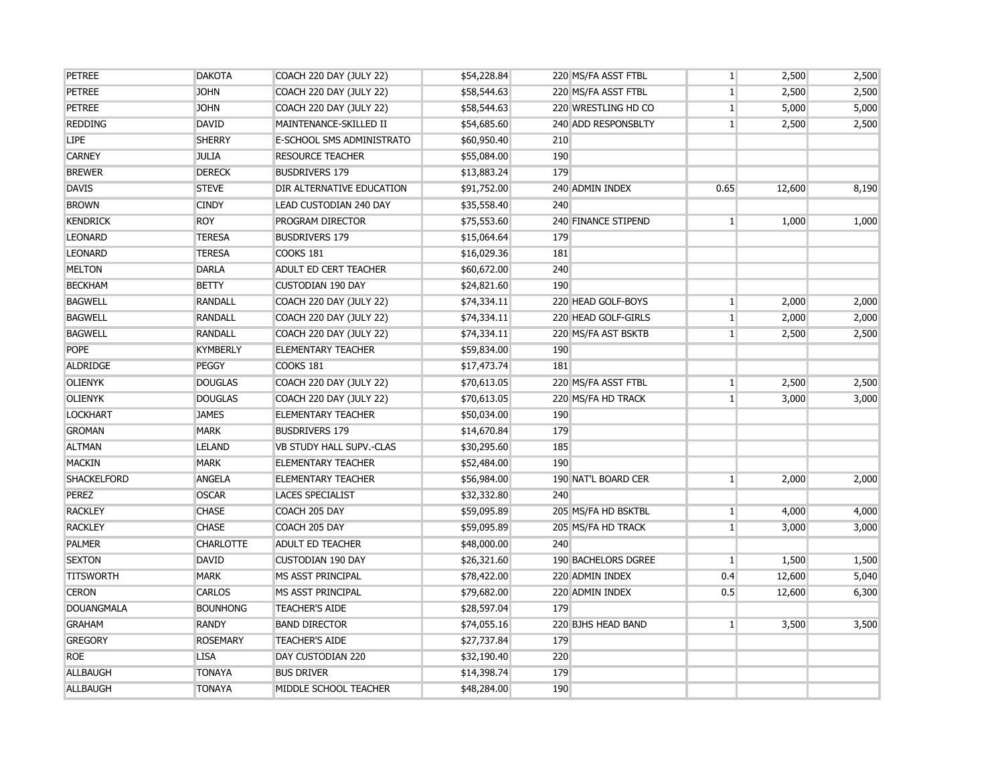| <b>PETREE</b>      | <b>DAKOTA</b>    | <b>COACH 220 DAY (JULY 22)</b> | \$54,228.84 | 220 MS/FA ASST FTBL | $\mathbf{1}$ | 2,500  | 2,500 |
|--------------------|------------------|--------------------------------|-------------|---------------------|--------------|--------|-------|
| <b>PETREE</b>      | <b>JOHN</b>      | <b>COACH 220 DAY (JULY 22)</b> | \$58,544.63 | 220 MS/FA ASST FTBL | 1            | 2,500  | 2,500 |
| <b>PETREE</b>      | <b>JOHN</b>      | <b>COACH 220 DAY (JULY 22)</b> | \$58,544.63 | 220 WRESTLING HD CO | $\mathbf{1}$ | 5,000  | 5,000 |
| <b>REDDING</b>     | <b>DAVID</b>     | MAINTENANCE-SKILLED II         | \$54,685.60 | 240 ADD RESPONSBLTY | $1\vert$     | 2,500  | 2,500 |
| <b>LIPE</b>        | <b>SHERRY</b>    | E-SCHOOL SMS ADMINISTRATO      | \$60,950.40 | 210                 |              |        |       |
| <b>CARNEY</b>      | <b>JULIA</b>     | <b>RESOURCE TEACHER</b>        | \$55,084.00 | 190                 |              |        |       |
| <b>BREWER</b>      | <b>DERECK</b>    | <b>BUSDRIVERS 179</b>          | \$13,883.24 | 179                 |              |        |       |
| <b>DAVIS</b>       | <b>STEVE</b>     | DIR ALTERNATIVE EDUCATION      | \$91,752.00 | 240 ADMIN INDEX     | 0.65         | 12,600 | 8,190 |
| <b>BROWN</b>       | <b>CINDY</b>     | LEAD CUSTODIAN 240 DAY         | \$35,558.40 | 240                 |              |        |       |
| <b>KENDRICK</b>    | <b>ROY</b>       | PROGRAM DIRECTOR               | \$75,553.60 | 240 FINANCE STIPEND | $\mathbf{1}$ | 1,000  | 1,000 |
| <b>LEONARD</b>     | <b>TERESA</b>    | <b>BUSDRIVERS 179</b>          | \$15,064.64 | 179                 |              |        |       |
| <b>LEONARD</b>     | <b>TERESA</b>    | COOKS 181                      | \$16,029.36 | 181                 |              |        |       |
| <b>MELTON</b>      | <b>DARLA</b>     | <b>ADULT ED CERT TEACHER</b>   | \$60,672.00 | 240                 |              |        |       |
| <b>BECKHAM</b>     | <b>BETTY</b>     | <b>CUSTODIAN 190 DAY</b>       | \$24,821.60 | 190                 |              |        |       |
| <b>BAGWELL</b>     | <b>RANDALL</b>   | <b>COACH 220 DAY (JULY 22)</b> | \$74,334.11 | 220 HEAD GOLF-BOYS  | 1            | 2,000  | 2,000 |
| <b>BAGWELL</b>     | <b>RANDALL</b>   | <b>COACH 220 DAY (JULY 22)</b> | \$74,334.11 | 220 HEAD GOLF-GIRLS | 1            | 2,000  | 2,000 |
| <b>BAGWELL</b>     | <b>RANDALL</b>   | COACH 220 DAY (JULY 22)        | \$74,334.11 | 220 MS/FA AST BSKTB | $1\vert$     | 2,500  | 2,500 |
| <b>POPE</b>        | <b>KYMBERLY</b>  | <b>ELEMENTARY TEACHER</b>      | \$59,834.00 | 190                 |              |        |       |
| ALDRIDGE           | PEGGY            | COOKS 181                      | \$17,473.74 | 181                 |              |        |       |
| <b>OLIENYK</b>     | <b>DOUGLAS</b>   | <b>COACH 220 DAY (JULY 22)</b> | \$70,613.05 | 220 MS/FA ASST FTBL | $\mathbf{1}$ | 2,500  | 2,500 |
| <b>OLIENYK</b>     | <b>DOUGLAS</b>   | <b>COACH 220 DAY (JULY 22)</b> | \$70,613.05 | 220 MS/FA HD TRACK  | 1            | 3,000  | 3,000 |
| <b>LOCKHART</b>    | <b>JAMES</b>     | <b>ELEMENTARY TEACHER</b>      | \$50,034.00 | 190                 |              |        |       |
| <b>GROMAN</b>      | <b>MARK</b>      | <b>BUSDRIVERS 179</b>          | \$14,670.84 | 179                 |              |        |       |
| <b>ALTMAN</b>      | <b>LELAND</b>    | VB STUDY HALL SUPV.-CLAS       | \$30,295.60 | 185                 |              |        |       |
| <b>MACKIN</b>      | <b>MARK</b>      | <b>ELEMENTARY TEACHER</b>      | \$52,484.00 | 190                 |              |        |       |
| <b>SHACKELFORD</b> | <b>ANGELA</b>    | <b>ELEMENTARY TEACHER</b>      | \$56,984.00 | 190 NAT'L BOARD CER | $\mathbf{1}$ | 2,000  | 2,000 |
| <b>PEREZ</b>       | <b>OSCAR</b>     | <b>LACES SPECIALIST</b>        | \$32,332.80 | 240                 |              |        |       |
| <b>RACKLEY</b>     | <b>CHASE</b>     | COACH 205 DAY                  | \$59,095.89 | 205 MS/FA HD BSKTBL | 1            | 4,000  | 4,000 |
| <b>RACKLEY</b>     | <b>CHASE</b>     | COACH 205 DAY                  | \$59,095.89 | 205 MS/FA HD TRACK  | $1\vert$     | 3,000  | 3,000 |
| <b>PALMER</b>      | <b>CHARLOTTE</b> | <b>ADULT ED TEACHER</b>        | \$48,000.00 | 240                 |              |        |       |
| <b>SEXTON</b>      | <b>DAVID</b>     | <b>CUSTODIAN 190 DAY</b>       | \$26,321.60 | 190 BACHELORS DGREE | $\mathbf{1}$ | 1,500  | 1,500 |
| <b>TITSWORTH</b>   | <b>MARK</b>      | MS ASST PRINCIPAL              | \$78,422.00 | 220 ADMIN INDEX     | 0.4          | 12,600 | 5,040 |
| <b>CERON</b>       | <b>CARLOS</b>    | <b>MS ASST PRINCIPAL</b>       | \$79,682.00 | 220 ADMIN INDEX     | 0.5          | 12,600 | 6,300 |
| <b>DOUANGMALA</b>  | <b>BOUNHONG</b>  | <b>TEACHER'S AIDE</b>          | \$28,597.04 | 179                 |              |        |       |
| <b>GRAHAM</b>      | <b>RANDY</b>     | <b>BAND DIRECTOR</b>           | \$74,055.16 | 220 BJHS HEAD BAND  | $\mathbf{1}$ | 3,500  | 3,500 |
| <b>GREGORY</b>     | <b>ROSEMARY</b>  | <b>TEACHER'S AIDE</b>          | \$27,737.84 | 179                 |              |        |       |
| <b>ROE</b>         | <b>LISA</b>      | DAY CUSTODIAN 220              | \$32,190.40 | 220                 |              |        |       |
| ALLBAUGH           | <b>TONAYA</b>    | <b>BUS DRIVER</b>              | \$14,398.74 | 179                 |              |        |       |
| ALLBAUGH           | <b>TONAYA</b>    | MIDDLE SCHOOL TEACHER          | \$48,284.00 | 190                 |              |        |       |
|                    |                  |                                |             |                     |              |        |       |